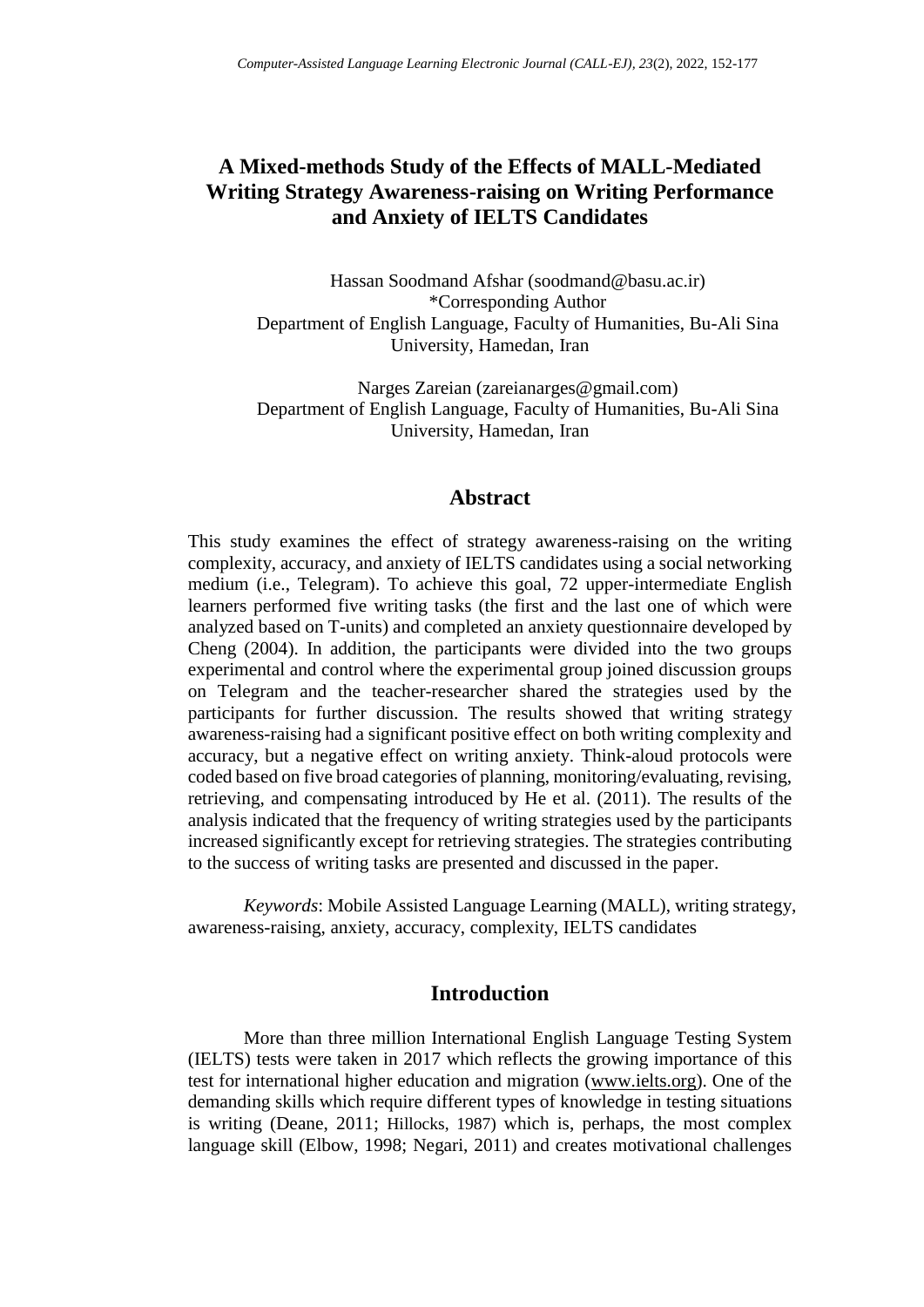# **A Mixed-methods Study of the Effects of MALL-Mediated Writing Strategy Awareness-raising on Writing Performance and Anxiety of IELTS Candidates**

Hassan Soodmand Afshar [\(soodmand@basu.ac.ir\)](mailto:soodmand@basu.ac.ir) \*Corresponding Author Department of English Language, Faculty of Humanities, Bu-Ali Sina University, Hamedan, Iran

Narges Zareian (zareianarges@gmail.com) Department of English Language, Faculty of Humanities, Bu-Ali Sina University, Hamedan, Iran

## **Abstract**

This study examines the effect of strategy awareness-raising on the writing complexity, accuracy, and anxiety of IELTS candidates using a social networking medium (i.e., Telegram). To achieve this goal, 72 upper-intermediate English learners performed five writing tasks (the first and the last one of which were analyzed based on T-units) and completed an anxiety questionnaire developed by Cheng (2004). In addition, the participants were divided into the two groups experimental and control where the experimental group joined discussion groups on Telegram and the teacher-researcher shared the strategies used by the participants for further discussion. The results showed that writing strategy awareness-raising had a significant positive effect on both writing complexity and accuracy, but a negative effect on writing anxiety. Think-aloud protocols were coded based on five broad categories of planning, monitoring/evaluating, revising, retrieving, and compensating introduced by He et al. (2011). The results of the analysis indicated that the frequency of writing strategies used by the participants increased significantly except for retrieving strategies. The strategies contributing to the success of writing tasks are presented and discussed in the paper.

*Keywords*: Mobile Assisted Language Learning (MALL), writing strategy, awareness-raising, anxiety, accuracy, complexity, IELTS candidates

## **Introduction**

More than three million International English Language Testing System (IELTS) tests were taken in 2017 which reflects the growing importance of this test for international higher education and migration [\(www.ielts.org\)](http://www.ielts.org/). One of the demanding skills which require different types of knowledge in testing situations is writing (Deane, 2011; Hillocks, 1987) which is, perhaps, the most complex language skill (Elbow, 1998; Negari, 2011) and creates motivational challenges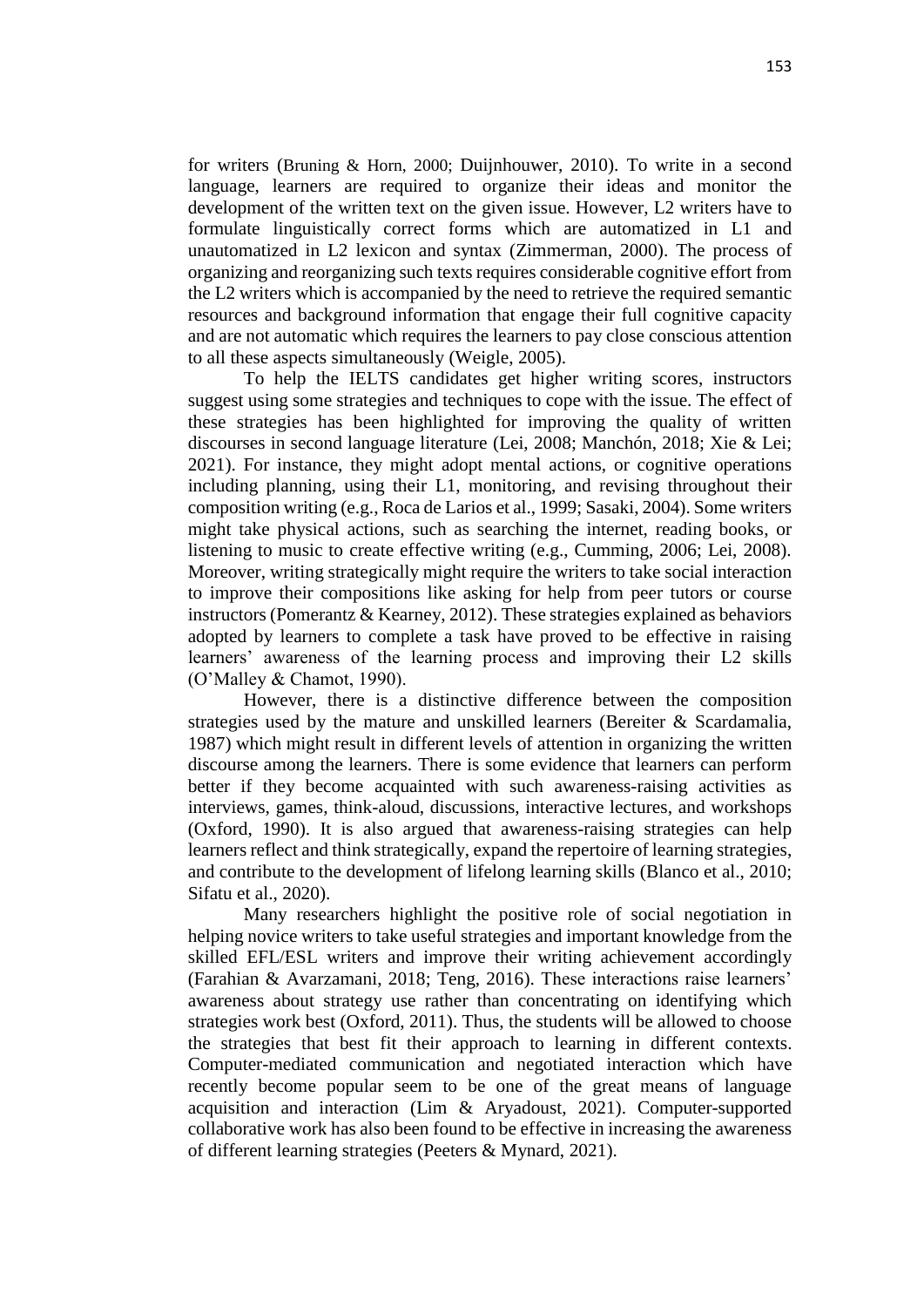for writers (Bruning & Horn, 2000; Duijnhouwer, 2010). To write in a second language, learners are required to organize their ideas and monitor the development of the written text on the given issue. However, L2 writers have to formulate linguistically correct forms which are automatized in L1 and unautomatized in L2 lexicon and syntax (Zimmerman, 2000). The process of organizing and reorganizing such texts requires considerable cognitive effort from the L2 writers which is accompanied by the need to retrieve the required semantic resources and background information that engage their full cognitive capacity and are not automatic which requires the learners to pay close conscious attention to all these aspects simultaneously (Weigle, 2005).

To help the IELTS candidates get higher writing scores, instructors suggest using some strategies and techniques to cope with the issue. The effect of these strategies has been highlighted for improving the quality of written discourses in second language literature (Lei, 2008; Manchón, 2018; Xie & Lei; 2021). For instance, they might adopt mental actions, or cognitive operations including planning, using their L1, monitoring, and revising throughout their composition writing (e.g., Roca de Larios et al., 1999; Sasaki, 2004). Some writers might take physical actions, such as searching the internet, reading books, or listening to music to create effective writing (e.g., Cumming, 2006; Lei, 2008). Moreover, writing strategically might require the writers to take social interaction to improve their compositions like asking for help from peer tutors or course instructors (Pomerantz & Kearney, 2012). These strategies explained as behaviors adopted by learners to complete a task have proved to be effective in raising learners' awareness of the learning process and improving their L2 skills (O'Malley & Chamot, 1990).

However, there is a distinctive difference between the composition strategies used by the mature and unskilled learners (Bereiter & Scardamalia, 1987) which might result in different levels of attention in organizing the written discourse among the learners. There is some evidence that learners can perform better if they become acquainted with such awareness-raising activities as interviews, games, think-aloud, discussions, interactive lectures, and workshops (Oxford, 1990). It is also argued that awareness-raising strategies can help learners reflect and think strategically, expand the repertoire of learning strategies, and contribute to the development of lifelong learning skills (Blanco et al., 2010; Sifatu et al., 2020).

Many researchers highlight the positive role of social negotiation in helping novice writers to take useful strategies and important knowledge from the skilled EFL/ESL writers and improve their writing achievement accordingly (Farahian & Avarzamani, 2018; Teng, 2016). These interactions raise learners' awareness about strategy use rather than concentrating on identifying which strategies work best (Oxford, 2011). Thus, the students will be allowed to choose the strategies that best fit their approach to learning in different contexts. Computer-mediated communication and negotiated interaction which have recently become popular seem to be one of the great means of language acquisition and interaction (Lim & Aryadoust, 2021). Computer-supported collaborative work has also been found to be effective in increasing the awareness of different learning strategies (Peeters & Mynard, 2021).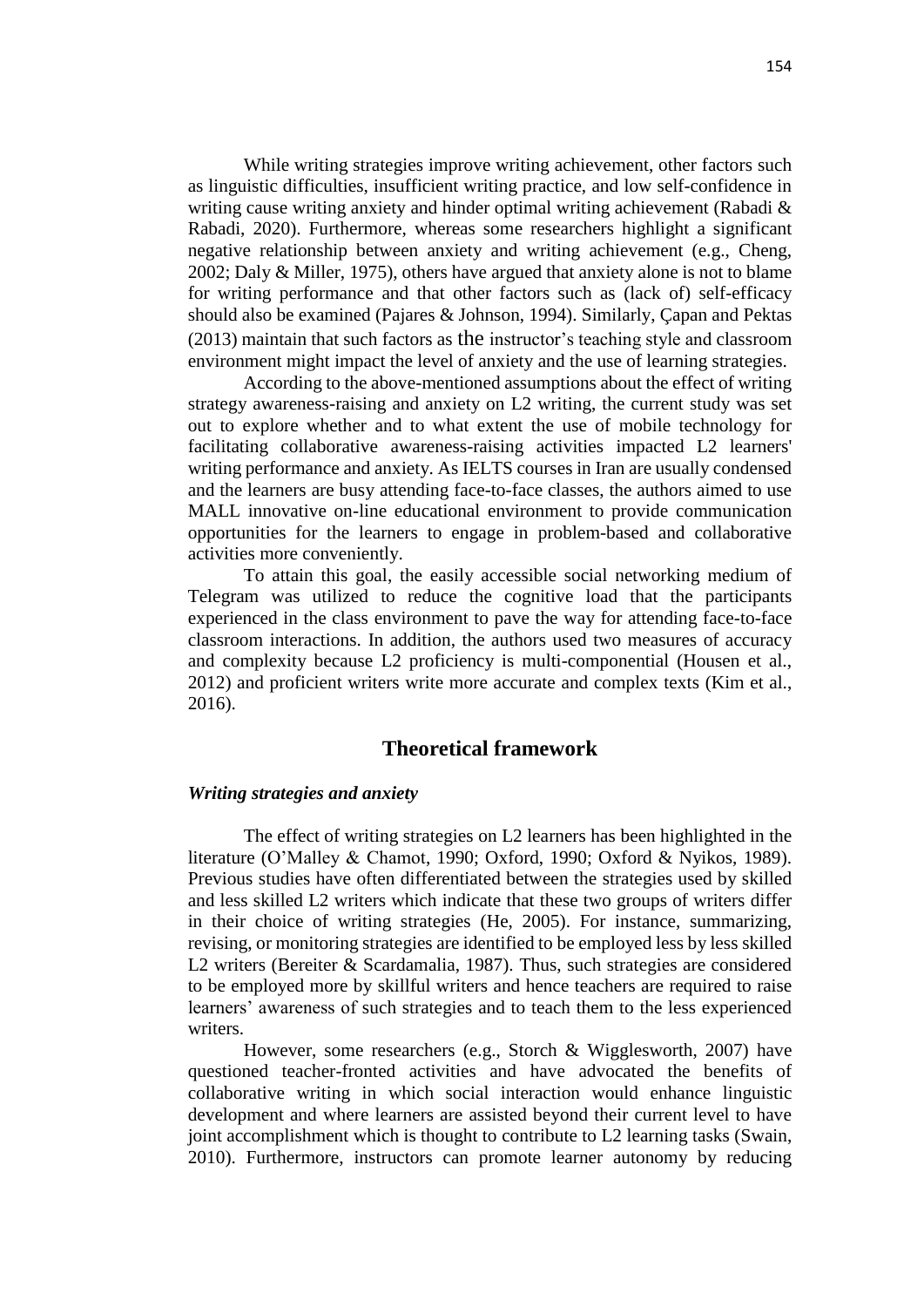While writing strategies improve writing achievement, other factors such as linguistic difficulties, insufficient writing practice, and low self-confidence in writing cause writing anxiety and hinder optimal writing achievement (Rabadi & Rabadi, 2020). Furthermore, whereas some researchers highlight a significant negative relationship between anxiety and writing achievement (e.g., Cheng, 2002; Daly & Miller, 1975), others have argued that anxiety alone is not to blame for writing performance and that other factors such as (lack of) self-efficacy should also be examined (Pajares & Johnson, 1994). Similarly, Çapan and Pektas (2013) maintain that such factors as the instructor's teaching style and classroom environment might impact the level of anxiety and the use of learning strategies.

According to the above-mentioned assumptions about the effect of writing strategy awareness-raising and anxiety on L2 writing, the current study was set out to explore whether and to what extent the use of mobile technology for facilitating collaborative awareness-raising activities impacted L2 learners' writing performance and anxiety. As IELTS courses in Iran are usually condensed and the learners are busy attending face-to-face classes, the authors aimed to use MALL innovative on-line educational environment to provide communication opportunities for the learners to engage in problem-based and collaborative activities more conveniently.

To attain this goal, the easily accessible social networking medium of Telegram was utilized to reduce the cognitive load that the participants experienced in the class environment to pave the way for attending face-to-face classroom interactions. In addition, the authors used two measures of accuracy and complexity because L2 proficiency is multi-componential (Housen et al., 2012) and proficient writers write more accurate and complex texts (Kim et al., 2016).

## **Theoretical framework**

#### *Writing strategies and anxiety*

The effect of writing strategies on L2 learners has been highlighted in the literature (O'Malley & Chamot, 1990; Oxford, 1990; Oxford & Nyikos, 1989). Previous studies have often differentiated between the strategies used by skilled and less skilled L2 writers which indicate that these two groups of writers differ in their choice of writing strategies (He, 2005). For instance, summarizing, revising, or monitoring strategies are identified to be employed less by less skilled L2 writers (Bereiter & Scardamalia, 1987). Thus, such strategies are considered to be employed more by skillful writers and hence teachers are required to raise learners' awareness of such strategies and to teach them to the less experienced writers.

However, some researchers (e.g., Storch & Wigglesworth, 2007) have questioned teacher-fronted activities and have advocated the benefits of collaborative writing in which social interaction would enhance linguistic development and where learners are assisted beyond their current level to have joint accomplishment which is thought to contribute to L2 learning tasks (Swain, 2010). Furthermore, instructors can promote learner autonomy by reducing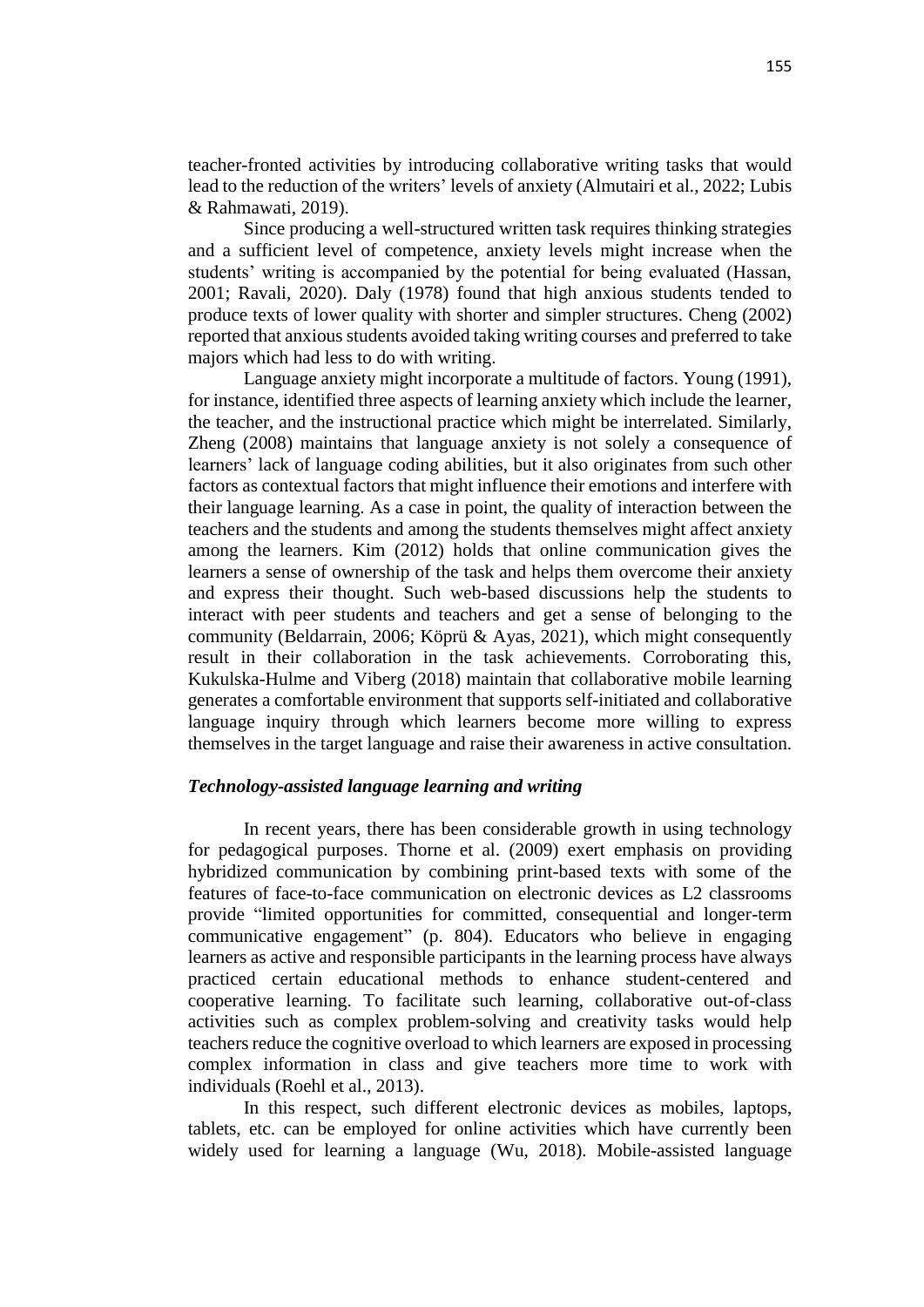teacher-fronted activities by introducing collaborative writing tasks that would lead to the reduction of the writers' levels of anxiety (Almutairi et al., 2022; Lubis & Rahmawati, 2019).

Since producing a well-structured written task requires thinking strategies and a sufficient level of competence, anxiety levels might increase when the students' writing is accompanied by the potential for being evaluated (Hassan, 2001; Ravali, 2020). Daly (1978) found that high anxious students tended to produce texts of lower quality with shorter and simpler structures. Cheng (2002) reported that anxious students avoided taking writing courses and preferred to take majors which had less to do with writing.

Language anxiety might incorporate a multitude of factors. Young (1991), for instance, identified three aspects of learning anxiety which include the learner, the teacher, and the instructional practice which might be interrelated. Similarly, Zheng (2008) maintains that language anxiety is not solely a consequence of learners' lack of language coding abilities, but it also originates from such other factors as contextual factors that might influence their emotions and interfere with their language learning. As a case in point, the quality of interaction between the teachers and the students and among the students themselves might affect anxiety among the learners. Kim (2012) holds that online communication gives the learners a sense of ownership of the task and helps them overcome their anxiety and express their thought. Such web-based discussions help the students to interact with peer students and teachers and get a sense of belonging to the community (Beldarrain, 2006; Köprü & Ayas, 2021), which might consequently result in their collaboration in the task achievements. Corroborating this, Kukulska-Hulme and Viberg (2018) maintain that collaborative mobile learning generates a comfortable environment that supports self-initiated and collaborative language inquiry through which learners become more willing to express themselves in the target language and raise their awareness in active consultation.

## *Technology-assisted language learning and writing*

In recent years, there has been considerable growth in using technology for pedagogical purposes. Thorne et al. (2009) exert emphasis on providing hybridized communication by combining print-based texts with some of the features of face-to-face communication on electronic devices as L2 classrooms provide "limited opportunities for committed, consequential and longer-term communicative engagement" (p. 804). Educators who believe in engaging learners as active and responsible participants in the learning process have always practiced certain educational methods to enhance student-centered and cooperative learning. To facilitate such learning, collaborative out-of-class activities such as complex problem-solving and creativity tasks would help teachers reduce the cognitive overload to which learners are exposed in processing complex information in class and give teachers more time to work with individuals (Roehl et al., 2013).

In this respect, such different electronic devices as mobiles, laptops, tablets, etc. can be employed for online activities which have currently been widely used for learning a language (Wu, 2018). Mobile-assisted language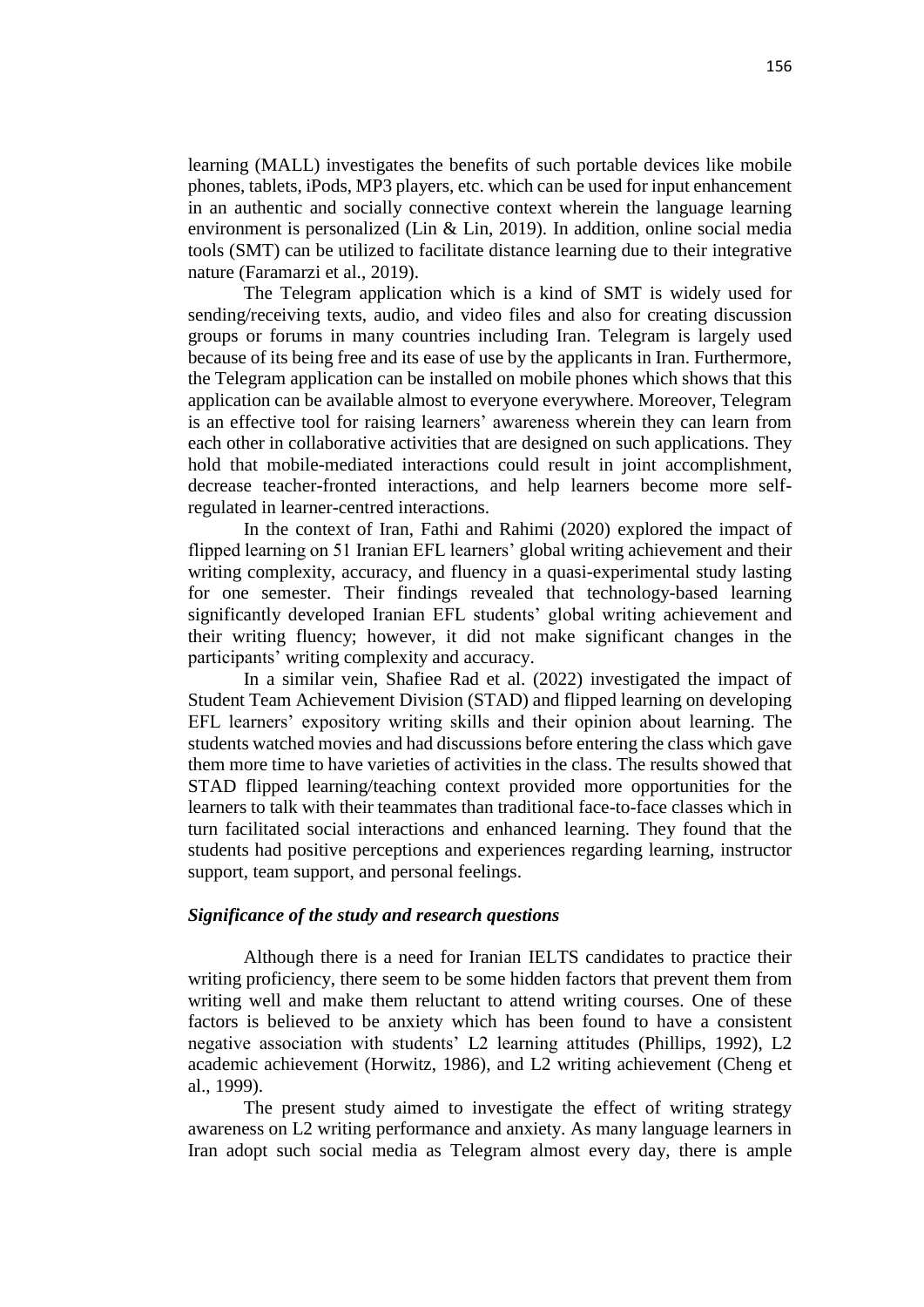learning (MALL) investigates the benefits of such portable devices like mobile phones, tablets, iPods, MP3 players, etc. which can be used for input enhancement in an authentic and socially connective context wherein the language learning environment is personalized (Lin & Lin, 2019). In addition, online social media tools (SMT) can be utilized to facilitate distance learning due to their integrative nature (Faramarzi et al., 2019).

The Telegram application which is a kind of SMT is widely used for sending/receiving texts, audio, and video files and also for creating discussion groups or forums in many countries including Iran. Telegram is largely used because of its being free and its ease of use by the applicants in Iran. Furthermore, the Telegram application can be installed on mobile phones which shows that this application can be available almost to everyone everywhere. Moreover, Telegram is an effective tool for raising learners' awareness wherein they can learn from each other in collaborative activities that are designed on such applications. They hold that mobile-mediated interactions could result in joint accomplishment, decrease teacher-fronted interactions, and help learners become more selfregulated in learner-centred interactions.

In the context of Iran, Fathi and Rahimi (2020) explored the impact of flipped learning on 51 Iranian EFL learners' global writing achievement and their writing complexity, accuracy, and fluency in a quasi-experimental study lasting for one semester. Their findings revealed that technology-based learning significantly developed Iranian EFL students' global writing achievement and their writing fluency; however, it did not make significant changes in the participants' writing complexity and accuracy.

In a similar vein, Shafiee Rad et al. (2022) investigated the impact of Student Team Achievement Division (STAD) and flipped learning on developing EFL learners' expository writing skills and their opinion about learning. The students watched movies and had discussions before entering the class which gave them more time to have varieties of activities in the class. The results showed that STAD flipped learning/teaching context provided more opportunities for the learners to talk with their teammates than traditional face-to-face classes which in turn facilitated social interactions and enhanced learning. They found that the students had positive perceptions and experiences regarding learning, instructor support, team support, and personal feelings.

## *Significance of the study and research questions*

Although there is a need for Iranian IELTS candidates to practice their writing proficiency, there seem to be some hidden factors that prevent them from writing well and make them reluctant to attend writing courses. One of these factors is believed to be anxiety which has been found to have a consistent negative association with students' L2 learning attitudes (Phillips, 1992), L2 academic achievement (Horwitz, 1986), and L2 writing achievement (Cheng et al., 1999).

The present study aimed to investigate the effect of writing strategy awareness on L2 writing performance and anxiety. As many language learners in Iran adopt such social media as Telegram almost every day, there is ample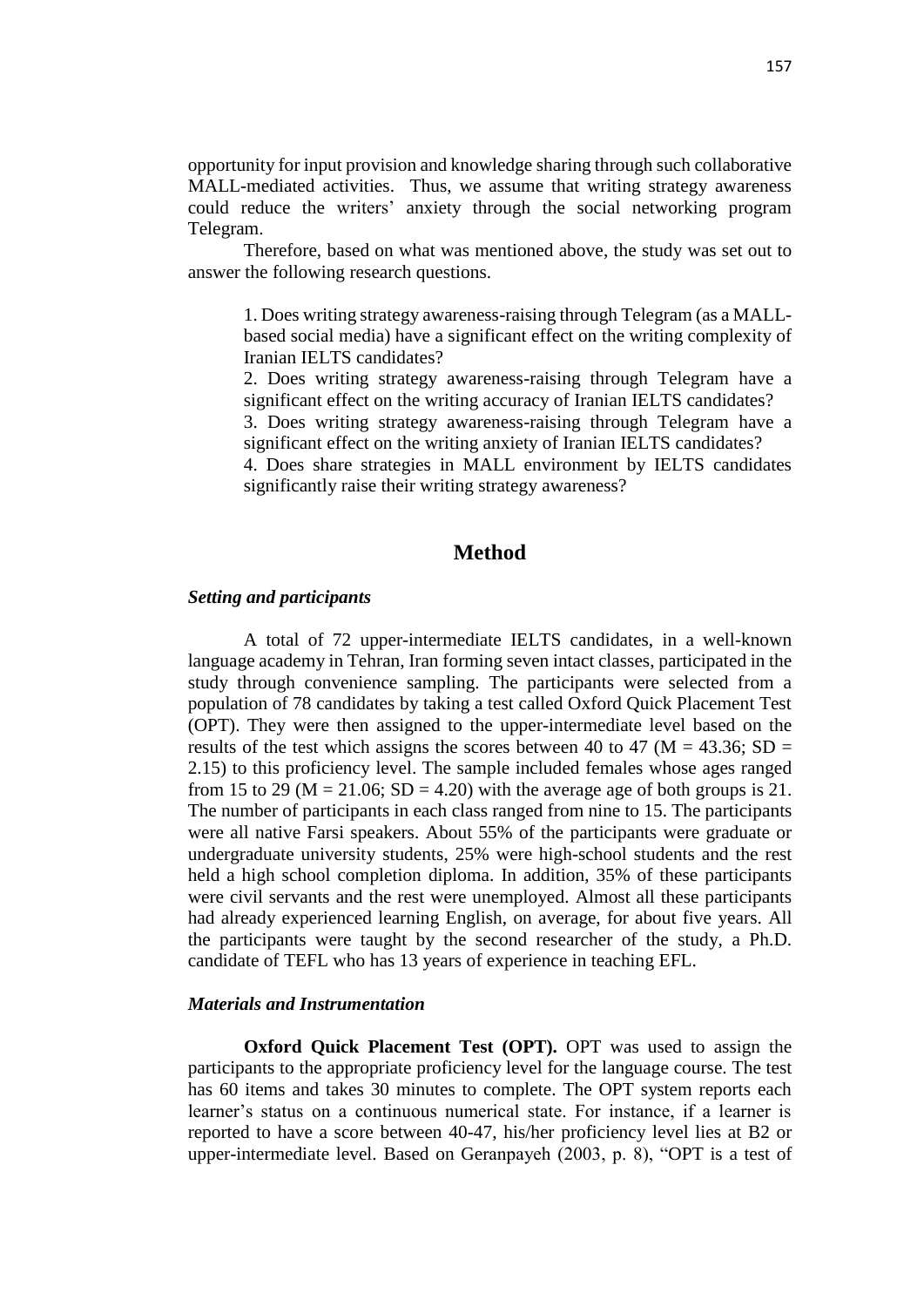opportunity for input provision and knowledge sharing through such collaborative MALL-mediated activities. Thus, we assume that writing strategy awareness could reduce the writers' anxiety through the social networking program Telegram.

Therefore, based on what was mentioned above, the study was set out to answer the following research questions.

1. Does writing strategy awareness-raising through Telegram (as a MALLbased social media) have a significant effect on the writing complexity of Iranian IELTS candidates?

2. Does writing strategy awareness-raising through Telegram have a significant effect on the writing accuracy of Iranian IELTS candidates?

3. Does writing strategy awareness-raising through Telegram have a significant effect on the writing anxiety of Iranian IELTS candidates?

4. Does share strategies in MALL environment by IELTS candidates significantly raise their writing strategy awareness?

## **Method**

#### *Setting and participants*

A total of 72 upper-intermediate IELTS candidates, in a well-known language academy in Tehran, Iran forming seven intact classes, participated in the study through convenience sampling. The participants were selected from a population of 78 candidates by taking a test called Oxford Quick Placement Test (OPT). They were then assigned to the upper-intermediate level based on the results of the test which assigns the scores between 40 to 47 ( $M = 43.36$ ; SD = 2.15) to this proficiency level. The sample included females whose ages ranged from 15 to 29 ( $M = 21.06$ ; SD = 4.20) with the average age of both groups is 21. The number of participants in each class ranged from nine to 15. The participants were all native Farsi speakers. About 55% of the participants were graduate or undergraduate university students, 25% were high-school students and the rest held a high school completion diploma. In addition, 35% of these participants were civil servants and the rest were unemployed. Almost all these participants had already experienced learning English, on average, for about five years. All the participants were taught by the second researcher of the study, a Ph.D. candidate of TEFL who has 13 years of experience in teaching EFL.

## *Materials and Instrumentation*

**Oxford Quick Placement Test (OPT).** OPT was used to assign the participants to the appropriate proficiency level for the language course. The test has 60 items and takes 30 minutes to complete. The OPT system reports each learner's status on a continuous numerical state. For instance, if a learner is reported to have a score between 40-47, his/her proficiency level lies at B2 or upper-intermediate level. Based on Geranpayeh (2003, p. 8), "OPT is a test of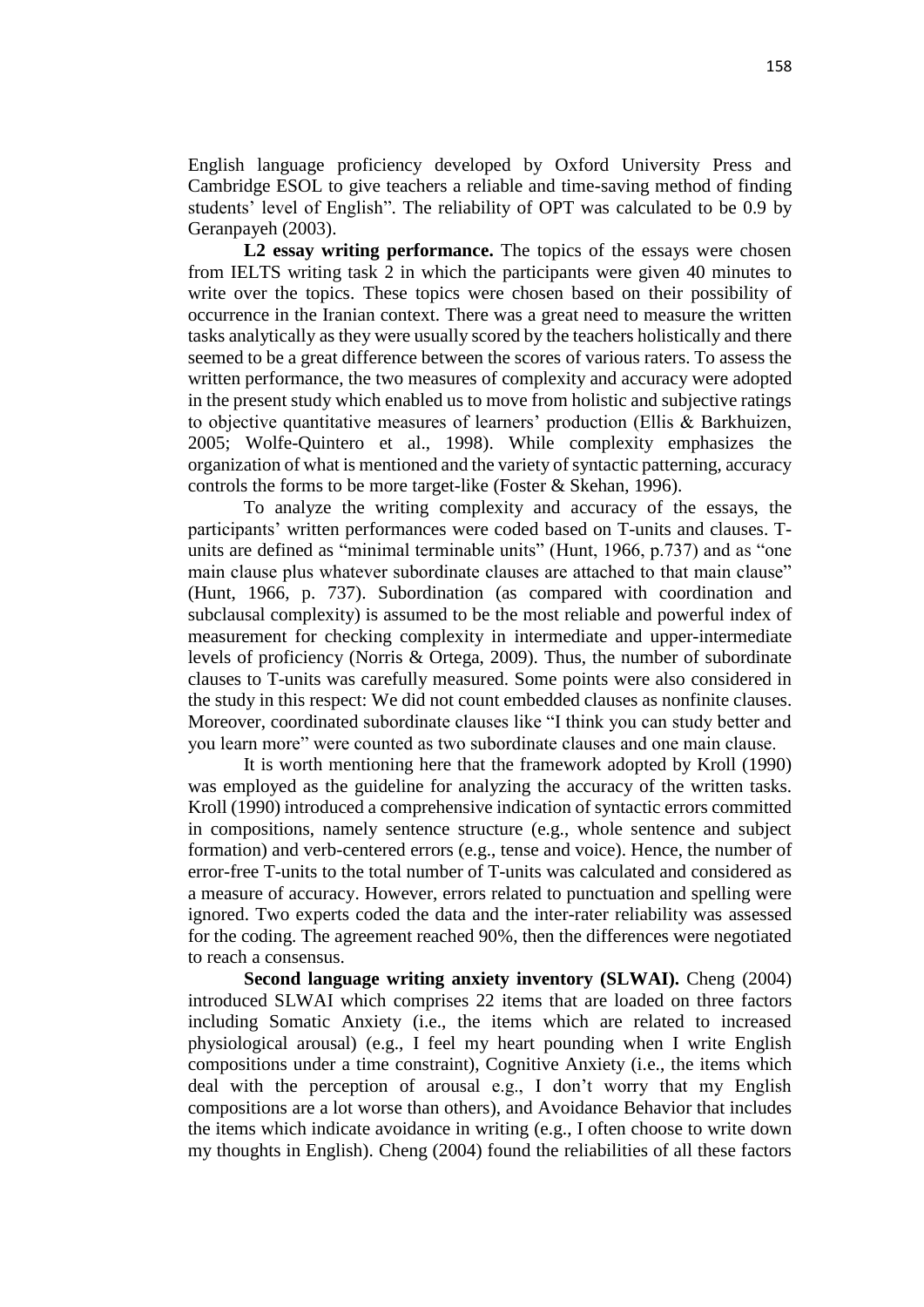English language proficiency developed by Oxford University Press and Cambridge ESOL to give teachers a reliable and time-saving method of finding students' level of English". The reliability of OPT was calculated to be 0.9 by Geranpayeh (2003).

L2 essay writing performance. The topics of the essays were chosen from IELTS writing task 2 in which the participants were given 40 minutes to write over the topics. These topics were chosen based on their possibility of occurrence in the Iranian context. There was a great need to measure the written tasks analytically as they were usually scored by the teachers holistically and there seemed to be a great difference between the scores of various raters. To assess the written performance, the two measures of complexity and accuracy were adopted in the present study which enabled us to move from holistic and subjective ratings to objective quantitative measures of learners' production (Ellis & Barkhuizen, 2005; Wolfe-Quintero et al., 1998). While complexity emphasizes the organization of what is mentioned and the variety of syntactic patterning, accuracy controls the forms to be more target-like (Foster & Skehan, 1996).

To analyze the writing complexity and accuracy of the essays, the participants' written performances were coded based on T-units and clauses. Tunits are defined as "minimal terminable units" (Hunt, 1966, p.737) and as "one main clause plus whatever subordinate clauses are attached to that main clause" (Hunt, 1966, p. 737). Subordination (as compared with coordination and subclausal complexity) is assumed to be the most reliable and powerful index of measurement for checking complexity in intermediate and upper-intermediate levels of proficiency (Norris & Ortega, 2009). Thus, the number of subordinate clauses to T-units was carefully measured. Some points were also considered in the study in this respect: We did not count embedded clauses as nonfinite clauses. Moreover, coordinated subordinate clauses like "I think you can study better and you learn more" were counted as two subordinate clauses and one main clause.

It is worth mentioning here that the framework adopted by Kroll (1990) was employed as the guideline for analyzing the accuracy of the written tasks. Kroll (1990) introduced a comprehensive indication of syntactic errors committed in compositions, namely sentence structure (e.g., whole sentence and subject formation) and verb-centered errors (e.g., tense and voice). Hence, the number of error-free T-units to the total number of T-units was calculated and considered as a measure of accuracy. However, errors related to punctuation and spelling were ignored. Two experts coded the data and the inter-rater reliability was assessed for the coding. The agreement reached 90%, then the differences were negotiated to reach a consensus.

**Second language writing anxiety inventory (SLWAI).** Cheng (2004) introduced SLWAI which comprises 22 items that are loaded on three factors including Somatic Anxiety (i.e., the items which are related to increased physiological arousal) (e.g., I feel my heart pounding when I write English compositions under a time constraint), Cognitive Anxiety (i.e., the items which deal with the perception of arousal e.g., I don't worry that my English compositions are a lot worse than others), and Avoidance Behavior that includes the items which indicate avoidance in writing (e.g., I often choose to write down my thoughts in English). Cheng (2004) found the reliabilities of all these factors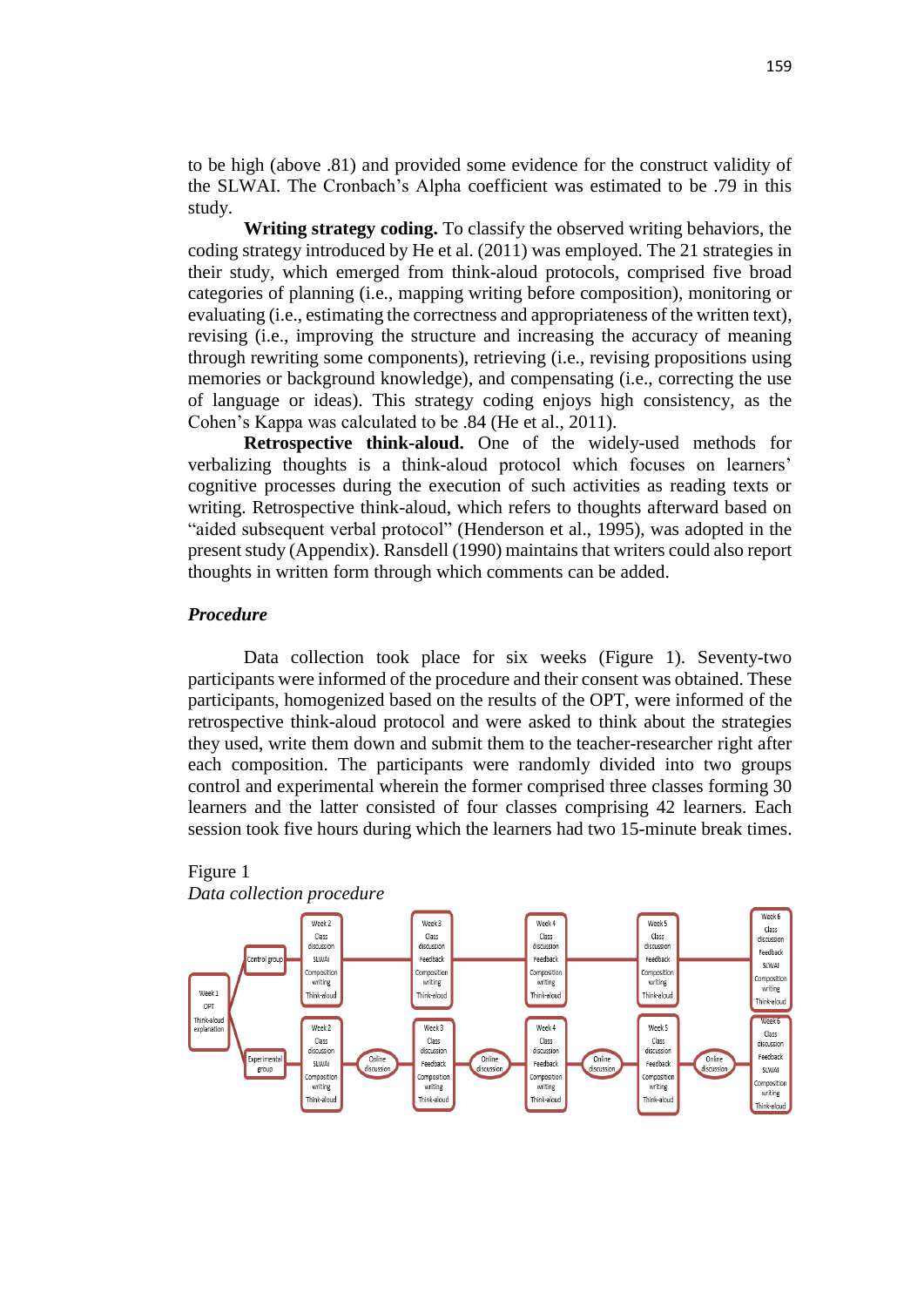to be high (above .81) and provided some evidence for the construct validity of the SLWAI. The Cronbach's Alpha coefficient was estimated to be .79 in this study.

**Writing strategy coding.** To classify the observed writing behaviors, the coding strategy introduced by He et al. (2011) was employed. The 21 strategies in their study, which emerged from think-aloud protocols, comprised five broad categories of planning (i.e., mapping writing before composition), monitoring or evaluating (i.e., estimating the correctness and appropriateness of the written text), revising (i.e., improving the structure and increasing the accuracy of meaning through rewriting some components), retrieving (i.e., revising propositions using memories or background knowledge), and compensating (i.e., correcting the use of language or ideas). This strategy coding enjoys high consistency, as the Cohen's Kappa was calculated to be .84 (He et al., 2011).

**Retrospective think-aloud.** One of the widely-used methods for verbalizing thoughts is a think-aloud protocol which focuses on learners' cognitive processes during the execution of such activities as reading texts or writing. Retrospective think-aloud, which refers to thoughts afterward based on "aided subsequent verbal protocol" (Henderson et al., 1995), was adopted in the present study (Appendix). Ransdell (1990) maintains that writers could also report thoughts in written form through which comments can be added.

#### *Procedure*

Data collection took place for six weeks (Figure 1). Seventy-two participants were informed of the procedure and their consent was obtained. These participants, homogenized based on the results of the OPT, were informed of the retrospective think-aloud protocol and were asked to think about the strategies they used, write them down and submit them to the teacher-researcher right after each composition. The participants were randomly divided into two groups control and experimental wherein the former comprised three classes forming 30 learners and the latter consisted of four classes comprising 42 learners. Each session took five hours during which the learners had two 15-minute break times.



#### Figure 1 *Data collection procedure*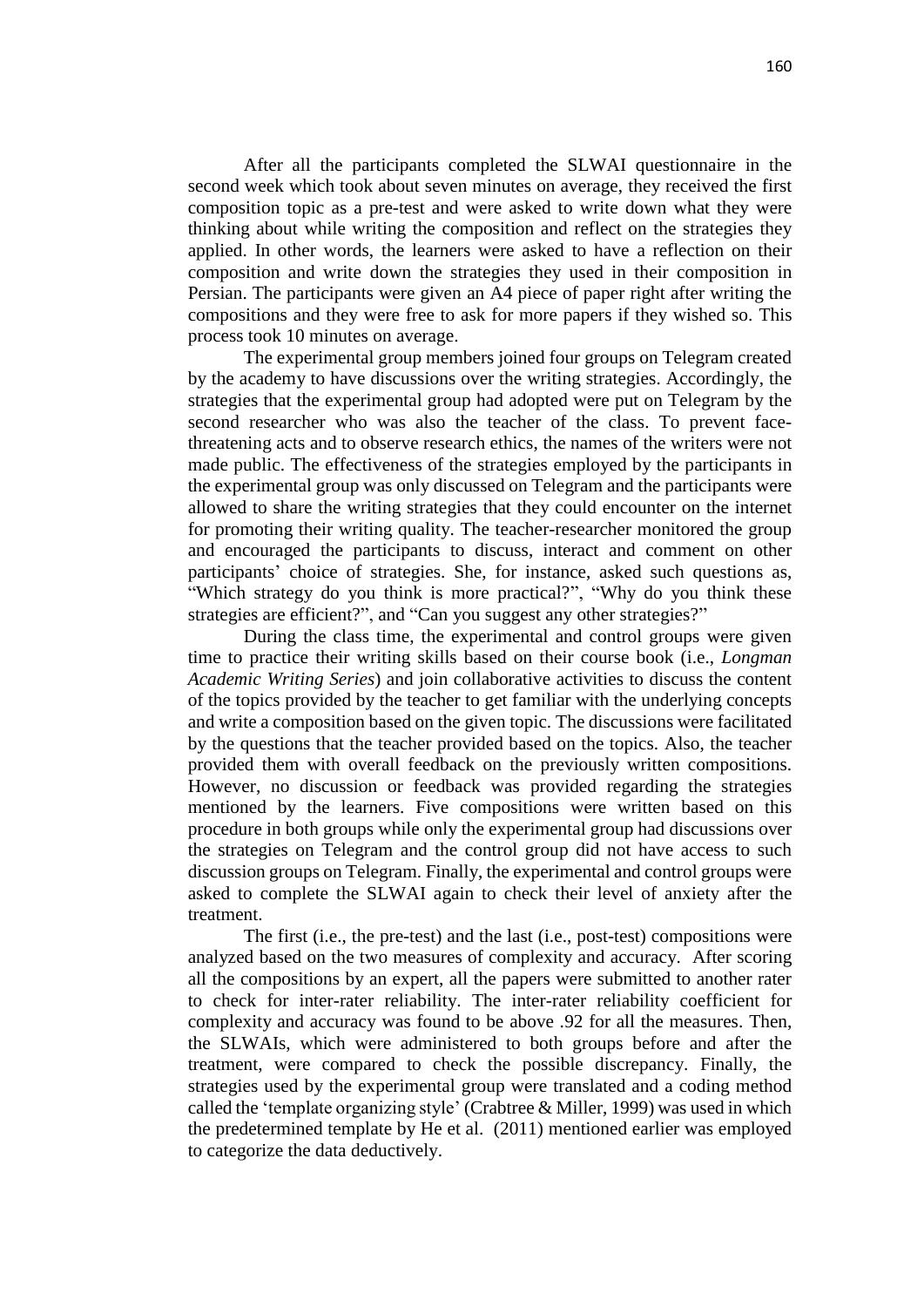After all the participants completed the SLWAI questionnaire in the second week which took about seven minutes on average, they received the first composition topic as a pre-test and were asked to write down what they were thinking about while writing the composition and reflect on the strategies they applied. In other words, the learners were asked to have a reflection on their composition and write down the strategies they used in their composition in Persian. The participants were given an A4 piece of paper right after writing the compositions and they were free to ask for more papers if they wished so. This process took 10 minutes on average.

The experimental group members joined four groups on Telegram created by the academy to have discussions over the writing strategies. Accordingly, the strategies that the experimental group had adopted were put on Telegram by the second researcher who was also the teacher of the class. To prevent facethreatening acts and to observe research ethics, the names of the writers were not made public. The effectiveness of the strategies employed by the participants in the experimental group was only discussed on Telegram and the participants were allowed to share the writing strategies that they could encounter on the internet for promoting their writing quality. The teacher-researcher monitored the group and encouraged the participants to discuss, interact and comment on other participants' choice of strategies. She, for instance, asked such questions as, "Which strategy do you think is more practical?", "Why do you think these strategies are efficient?", and "Can you suggest any other strategies?"

During the class time, the experimental and control groups were given time to practice their writing skills based on their course book (i.e., *Longman Academic Writing Series*) and join collaborative activities to discuss the content of the topics provided by the teacher to get familiar with the underlying concepts and write a composition based on the given topic. The discussions were facilitated by the questions that the teacher provided based on the topics. Also, the teacher provided them with overall feedback on the previously written compositions. However, no discussion or feedback was provided regarding the strategies mentioned by the learners. Five compositions were written based on this procedure in both groups while only the experimental group had discussions over the strategies on Telegram and the control group did not have access to such discussion groups on Telegram. Finally, the experimental and control groups were asked to complete the SLWAI again to check their level of anxiety after the treatment.

The first (i.e., the pre-test) and the last (i.e., post-test) compositions were analyzed based on the two measures of complexity and accuracy. After scoring all the compositions by an expert, all the papers were submitted to another rater to check for inter-rater reliability. The inter-rater reliability coefficient for complexity and accuracy was found to be above .92 for all the measures. Then, the SLWAIs, which were administered to both groups before and after the treatment, were compared to check the possible discrepancy. Finally, the strategies used by the experimental group were translated and a coding method called the 'template organizing style' (Crabtree & Miller, 1999) was used in which the predetermined template by He et al. (2011) mentioned earlier was employed to categorize the data deductively.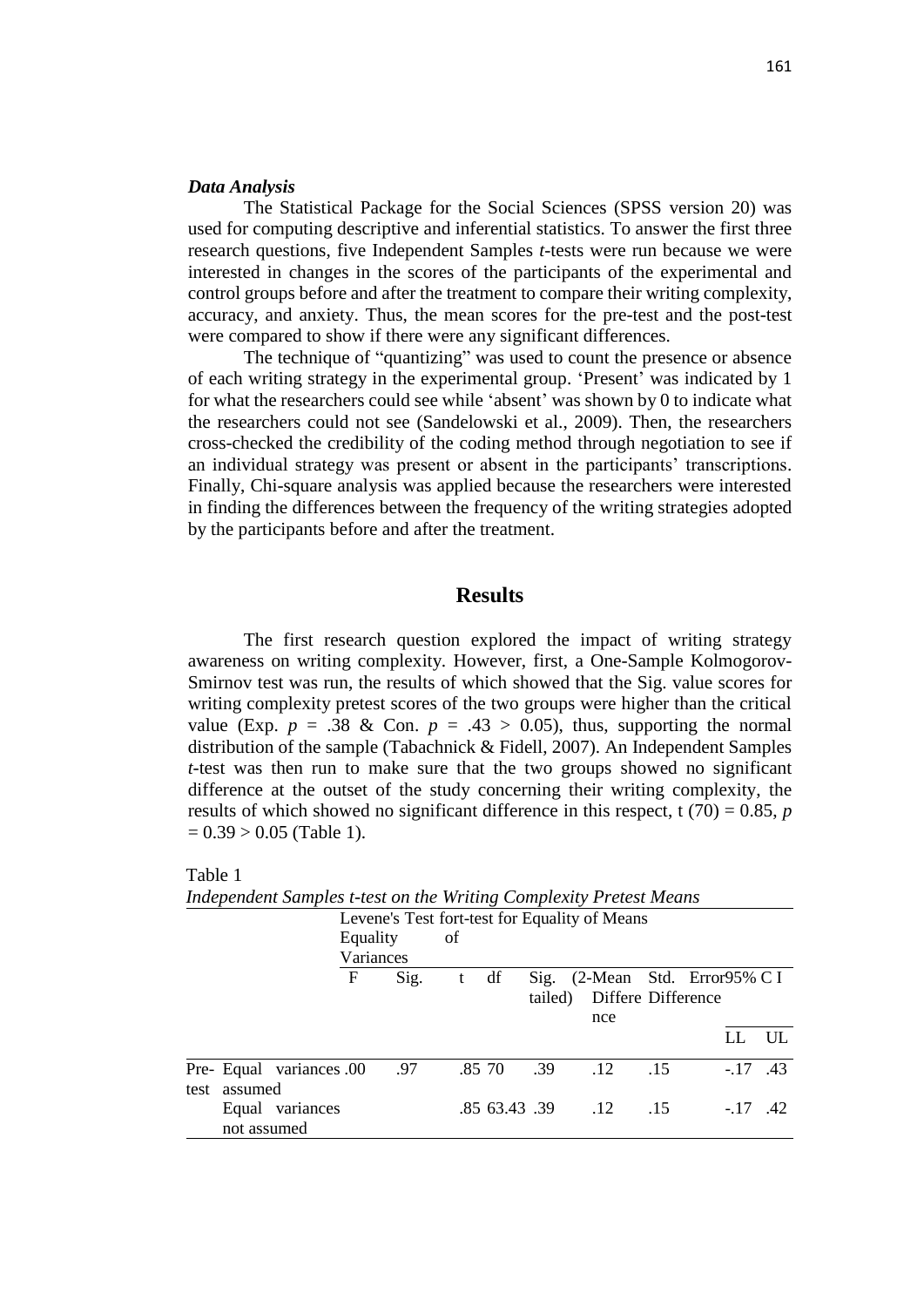#### *Data Analysis*

The Statistical Package for the Social Sciences (SPSS version 20) was used for computing descriptive and inferential statistics. To answer the first three research questions, five Independent Samples *t-*tests were run because we were interested in changes in the scores of the participants of the experimental and control groups before and after the treatment to compare their writing complexity, accuracy, and anxiety. Thus, the mean scores for the pre-test and the post-test were compared to show if there were any significant differences.

The technique of "quantizing" was used to count the presence or absence of each writing strategy in the experimental group. 'Present' was indicated by 1 for what the researchers could see while 'absent' was shown by 0 to indicate what the researchers could not see (Sandelowski et al., 2009). Then, the researchers cross-checked the credibility of the coding method through negotiation to see if an individual strategy was present or absent in the participants' transcriptions. Finally, Chi-square analysis was applied because the researchers were interested in finding the differences between the frequency of the writing strategies adopted by the participants before and after the treatment.

## **Results**

The first research question explored the impact of writing strategy awareness on writing complexity. However, first, a One-Sample Kolmogorov-Smirnov test was run, the results of which showed that the Sig. value scores for writing complexity pretest scores of the two groups were higher than the critical value (Exp.  $p = .38$  & Con.  $p = .43 > 0.05$ ), thus, supporting the normal distribution of the sample (Tabachnick & Fidell, 2007). An Independent Samples *t-*test was then run to make sure that the two groups showed no significant difference at the outset of the study concerning their writing complexity, the results of which showed no significant difference in this respect, t  $(70) = 0.85$ , *p*  $= 0.39 > 0.05$  (Table 1).

| macpenaeni sampies i test on me writing complexity i retest means |          |           |    |        |     |                                               |       |    |             |
|-------------------------------------------------------------------|----------|-----------|----|--------|-----|-----------------------------------------------|-------|----|-------------|
|                                                                   |          |           |    |        |     | Levene's Test fort-test for Equality of Means |       |    |             |
|                                                                   | Equality |           | of |        |     |                                               |       |    |             |
|                                                                   |          | Variances |    |        |     |                                               |       |    |             |
|                                                                   | F        | Sig.      | t  | df     |     | Sig. $(2$ -Mean Std. Error 95% C I            |       |    |             |
|                                                                   |          |           |    |        |     | tailed) Differe Difference                    |       |    |             |
|                                                                   |          |           |    |        |     | nce                                           |       |    |             |
|                                                                   |          |           |    |        |     |                                               |       | LL | UL.         |
| Pre- Equal variances .00<br>test assumed                          |          | .97       |    | .85 70 | .39 | .12                                           | $-15$ |    | $-.17$ .43  |
| Equal variances<br>not assumed                                    |          |           |    |        |     | .85 63.43 .39 .12 .15                         |       |    | $-17$ $.42$ |
|                                                                   |          |           |    |        |     |                                               |       |    |             |

| ٠ |  |
|---|--|
|   |  |

*Independent Samples t-test on the Writing Complexity Pretest Means*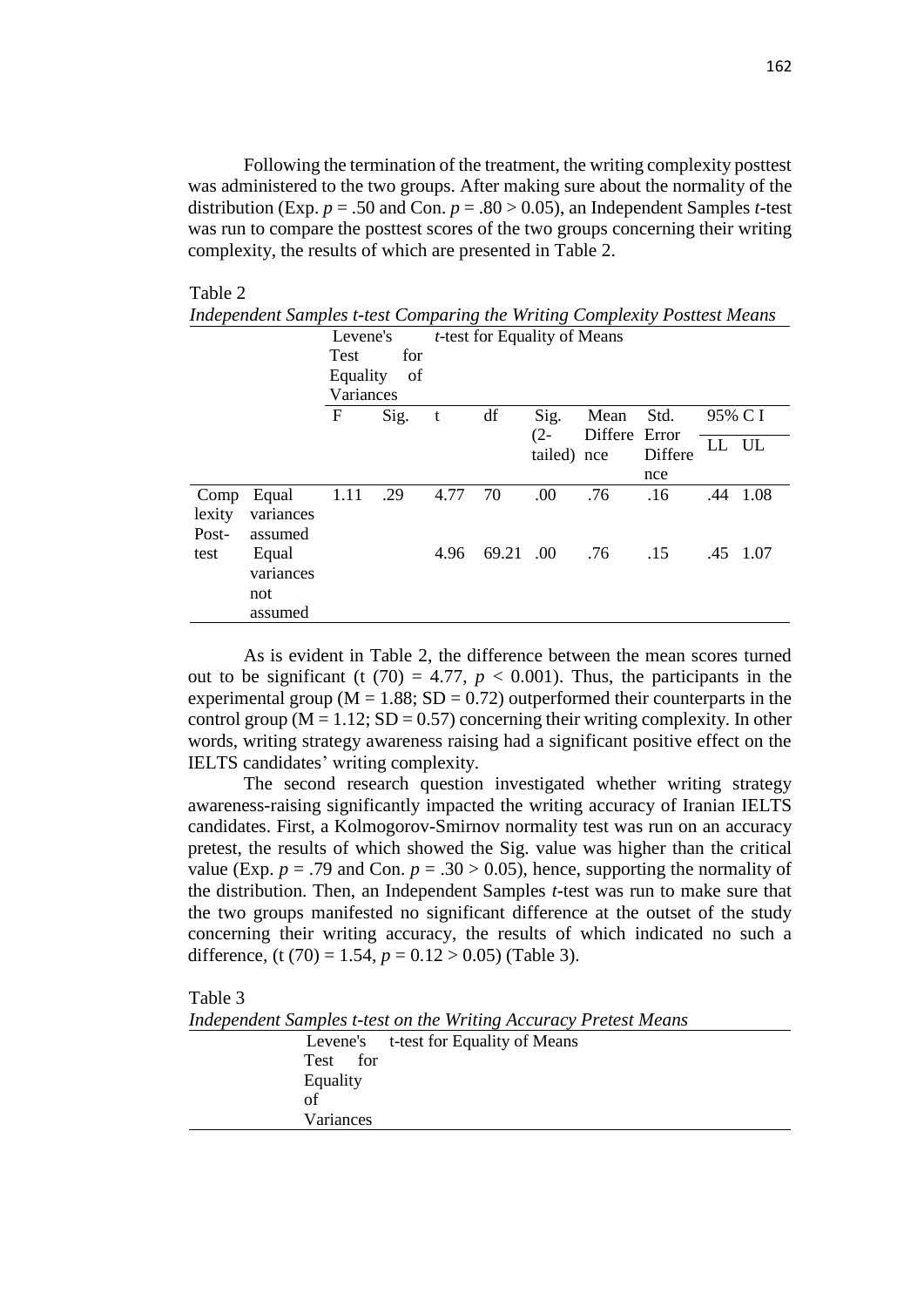Following the termination of the treatment, the writing complexity posttest was administered to the two groups. After making sure about the normality of the distribution (Exp.  $p = .50$  and Con.  $p = .80 > 0.05$ ), an Independent Samples *t*-test was run to compare the posttest scores of the two groups concerning their writing complexity, the results of which are presented in Table 2.

#### Table 2

|                | maepenaem samples t-lest Comparing the writing Complexity I ostlest means |             |             |                                      |       |                |                       |         |         |          |  |
|----------------|---------------------------------------------------------------------------|-------------|-------------|--------------------------------------|-------|----------------|-----------------------|---------|---------|----------|--|
|                |                                                                           |             | Levene's    | <i>t</i> -test for Equality of Means |       |                |                       |         |         |          |  |
|                |                                                                           | <b>Test</b> | for         |                                      |       |                |                       |         |         |          |  |
|                |                                                                           |             | Equality of |                                      |       |                |                       |         |         |          |  |
|                |                                                                           | Variances   |             |                                      |       |                |                       |         |         |          |  |
|                |                                                                           | F           | Sig.        | t                                    | df    | Sig.<br>$(2 -$ | Mean<br>Differe Error | Std.    | 95% C I |          |  |
|                |                                                                           |             |             |                                      |       | tailed) nce    |                       | Differe | LL UL   |          |  |
|                |                                                                           |             |             |                                      |       |                |                       | nce     |         |          |  |
| Comp<br>lexity | Equal<br>variances                                                        | 1.11        | .29         | 4.77                                 | 70    | .00            | .76                   | .16     |         | .44 1.08 |  |
| Post-          | assumed                                                                   |             |             |                                      |       |                |                       |         |         |          |  |
| test           | Equal                                                                     |             |             | 4.96                                 | 69.21 | .00.           | .76                   | .15     |         | .45 1.07 |  |
|                | variances                                                                 |             |             |                                      |       |                |                       |         |         |          |  |
|                | not                                                                       |             |             |                                      |       |                |                       |         |         |          |  |
|                | assumed                                                                   |             |             |                                      |       |                |                       |         |         |          |  |

*Independent Samples t-test Comparing the Writing Complexity Posttest Means*

As is evident in Table 2, the difference between the mean scores turned out to be significant (t  $(70) = 4.77$ ,  $p < 0.001$ ). Thus, the participants in the experimental group ( $M = 1.88$ ; SD = 0.72) outperformed their counterparts in the control group ( $M = 1.12$ ; SD = 0.57) concerning their writing complexity. In other words, writing strategy awareness raising had a significant positive effect on the IELTS candidates' writing complexity.

The second research question investigated whether writing strategy awareness-raising significantly impacted the writing accuracy of Iranian IELTS candidates. First, a Kolmogorov-Smirnov normality test was run on an accuracy pretest, the results of which showed the Sig. value was higher than the critical value (Exp.  $p = .79$  and Con.  $p = .30 > 0.05$ ), hence, supporting the normality of the distribution. Then, an Independent Samples *t-*test was run to make sure that the two groups manifested no significant difference at the outset of the study concerning their writing accuracy, the results of which indicated no such a difference, (t (70) = 1.54,  $p = 0.12 > 0.05$ ) (Table 3).

#### Table 3

*Independent Samples t-test on the Writing Accuracy Pretest Means*

|           | Levene's t-test for Equality of Means |  |
|-----------|---------------------------------------|--|
| Test for  |                                       |  |
| Equality  |                                       |  |
| of        |                                       |  |
| Variances |                                       |  |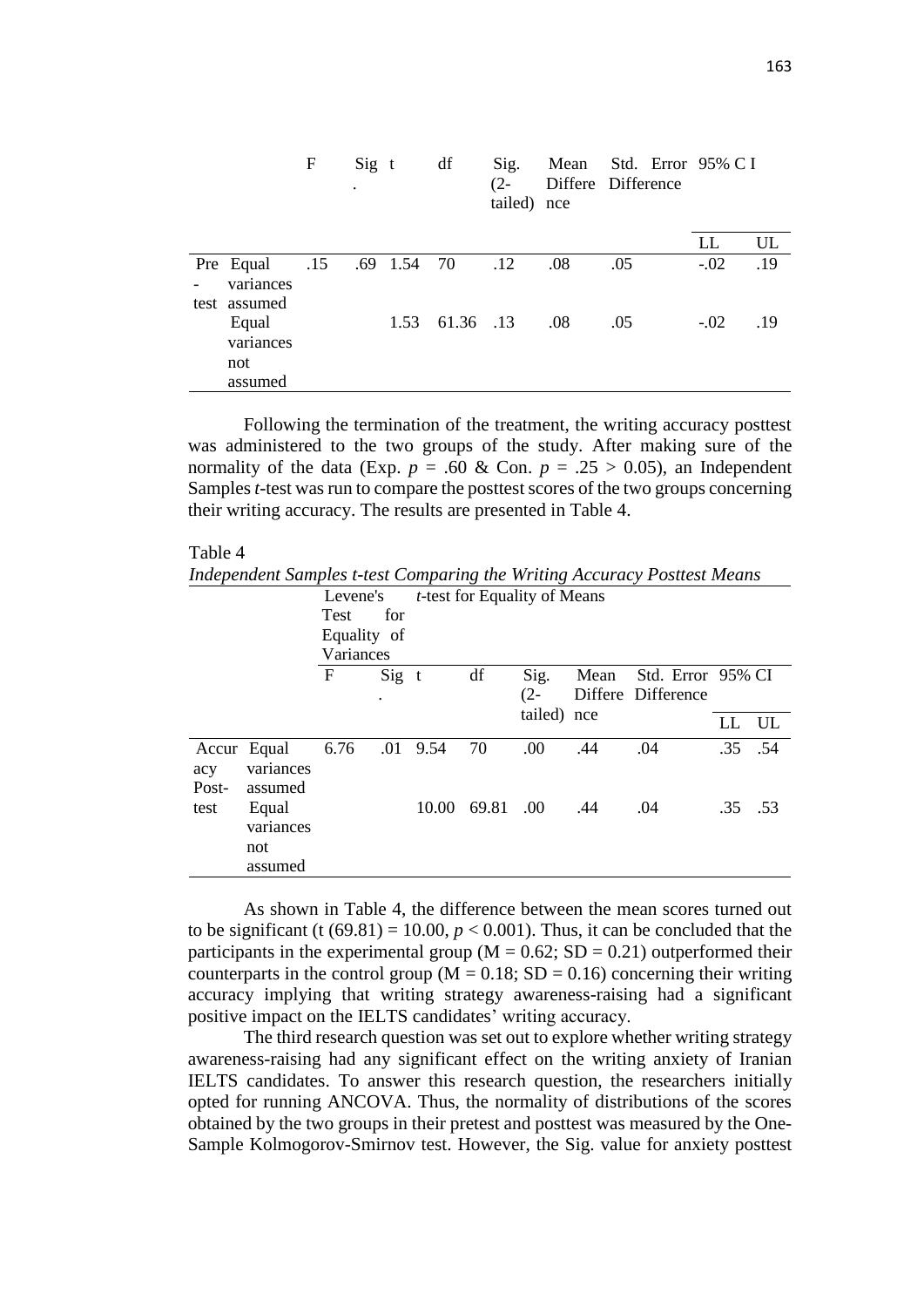|                                                            | F | $Sig$ t<br>$\bullet$ |      | df        | Sig.<br>$(2 -$<br>tailed) nce |     | Mean Std. Error 95% C I<br>Differe Difference |        |     |
|------------------------------------------------------------|---|----------------------|------|-----------|-------------------------------|-----|-----------------------------------------------|--------|-----|
|                                                            |   |                      |      |           |                               |     |                                               | LL     | UL  |
| Pre Equal .15 .69 1.54 70 .12<br>variances<br>test assumed |   |                      |      |           |                               | .08 | .05                                           | $-.02$ | .19 |
| Equal<br>variances<br>not<br>assumed                       |   |                      | 1.53 | 61.36 .13 |                               | .08 | .05                                           | $-.02$ | .19 |

Following the termination of the treatment, the writing accuracy posttest was administered to the two groups of the study. After making sure of the normality of the data (Exp.  $p = .60 \&$  Con.  $p = .25 > 0.05$ ), an Independent Samples *t-*test was run to compare the posttest scores of the two groups concerning their writing accuracy. The results are presented in Table 4.

#### Table 4

*Independent Samples t-test Comparing the Writing Accuracy Posttest Means*

|               |                               | Levene's     |         | <i>t</i> -test for Equality of Means |       |             |      |                    |         |     |  |
|---------------|-------------------------------|--------------|---------|--------------------------------------|-------|-------------|------|--------------------|---------|-----|--|
|               |                               | <b>Test</b>  | for     |                                      |       |             |      |                    |         |     |  |
|               |                               | Equality of  |         |                                      |       |             |      |                    |         |     |  |
|               |                               | Variances    |         |                                      |       |             |      |                    |         |     |  |
|               |                               | $\mathbf{F}$ | $Sig$ t |                                      | df    | Sig.        | Mean | Std. Error 95% CI  |         |     |  |
|               |                               |              | ٠       |                                      |       | $(2 -$      |      | Differe Difference |         |     |  |
|               |                               |              |         |                                      |       | tailed) nce |      |                    | LL      | UL  |  |
| acy           | Accur Equal<br>variances      | 6.76         | .01     | 9.54                                 | 70    | .00         | .44  | .04                | .35 .54 |     |  |
| Post-<br>test | assumed<br>Equal<br>variances |              |         | 10.00                                | 69.81 | .00.        | .44  | .04                | .35     | .53 |  |
|               | not<br>assumed                |              |         |                                      |       |             |      |                    |         |     |  |

As shown in Table 4, the difference between the mean scores turned out to be significant (t  $(69.81) = 10.00$ ,  $p < 0.001$ ). Thus, it can be concluded that the participants in the experimental group ( $M = 0.62$ ; SD = 0.21) outperformed their counterparts in the control group ( $M = 0.18$ ; SD = 0.16) concerning their writing accuracy implying that writing strategy awareness-raising had a significant positive impact on the IELTS candidates' writing accuracy.

The third research question was set out to explore whether writing strategy awareness-raising had any significant effect on the writing anxiety of Iranian IELTS candidates. To answer this research question, the researchers initially opted for running ANCOVA. Thus, the normality of distributions of the scores obtained by the two groups in their pretest and posttest was measured by the One-Sample Kolmogorov-Smirnov test. However, the Sig. value for anxiety posttest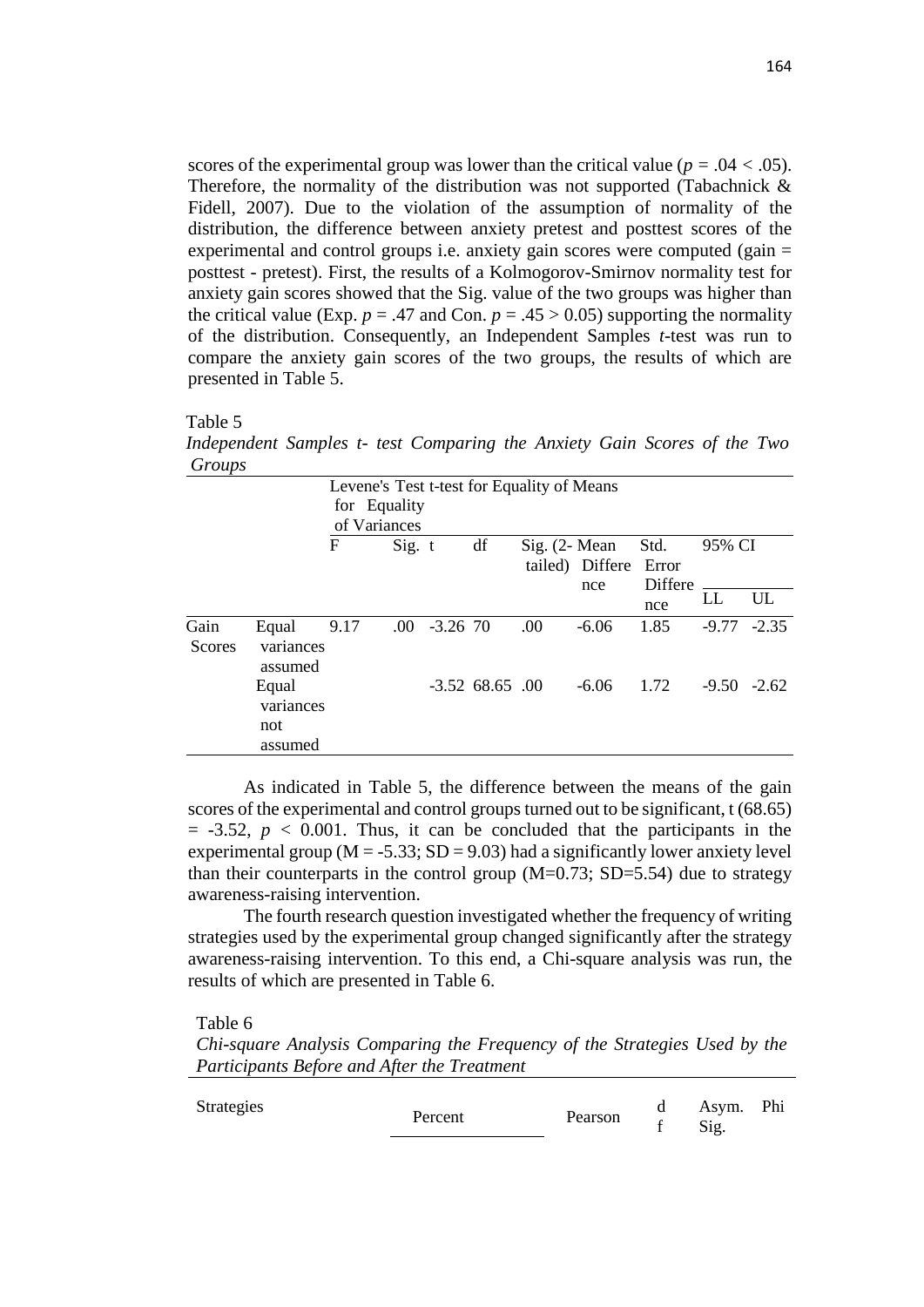scores of the experimental group was lower than the critical value ( $p = .04 < .05$ ). Therefore, the normality of the distribution was not supported (Tabachnick  $\&$ Fidell, 2007). Due to the violation of the assumption of normality of the distribution, the difference between anxiety pretest and posttest scores of the experimental and control groups i.e. anxiety gain scores were computed (gain = posttest - pretest). First, the results of a Kolmogorov-Smirnov normality test for anxiety gain scores showed that the Sig. value of the two groups was higher than the critical value (Exp.  $p = .47$  and Con.  $p = .45 > 0.05$ ) supporting the normality of the distribution. Consequently, an Independent Samples *t-*test was run to compare the anxiety gain scores of the two groups, the results of which are presented in Table 5.

Table 5

*Independent Samples t- test Comparing the Anxiety Gain Scores of the Two Groups*

|                               | F       |      |              | df                                |            |                   | Std.                                                                   | 95% CI                              |    |
|-------------------------------|---------|------|--------------|-----------------------------------|------------|-------------------|------------------------------------------------------------------------|-------------------------------------|----|
|                               |         |      |              |                                   |            |                   | nce                                                                    | LL                                  | UL |
| Equal<br>variances<br>assumed |         |      |              |                                   | .00.       | $-6.06$           | 1.85                                                                   | $-9.77 - 2.35$                      |    |
| Equal<br>variances<br>not     |         |      |              |                                   |            | $-6.06$           | 1.72                                                                   | $-9.50 -2.62$                       |    |
|                               | assumed | 9.17 | of Variances | for Equality<br>Sig. t<br>$.00\,$ | $-3.26$ 70 | $-3.52$ 68.65 .00 | Levene's Test t-test for Equality of Means<br>$Sig. (2 - Mean)$<br>nce | tailed) Differe<br>Error<br>Differe |    |

As indicated in Table 5, the difference between the means of the gain scores of the experimental and control groups turned out to be significant,  $t (68.65)$  $= -3.52$ ,  $p < 0.001$ . Thus, it can be concluded that the participants in the experimental group ( $M = -5.33$ ;  $SD = 9.03$ ) had a significantly lower anxiety level than their counterparts in the control group  $(M=0.73; SD=5.54)$  due to strategy awareness-raising intervention.

The fourth research question investigated whether the frequency of writing strategies used by the experimental group changed significantly after the strategy awareness-raising intervention. To this end, a Chi-square analysis was run, the results of which are presented in Table 6.

Table 6

*Chi-square Analysis Comparing the Frequency of the Strategies Used by the Participants Before and After the Treatment*

| Strategies<br>Percent | Pearson |  | Asym. Phi<br>Sig. |  |
|-----------------------|---------|--|-------------------|--|
|-----------------------|---------|--|-------------------|--|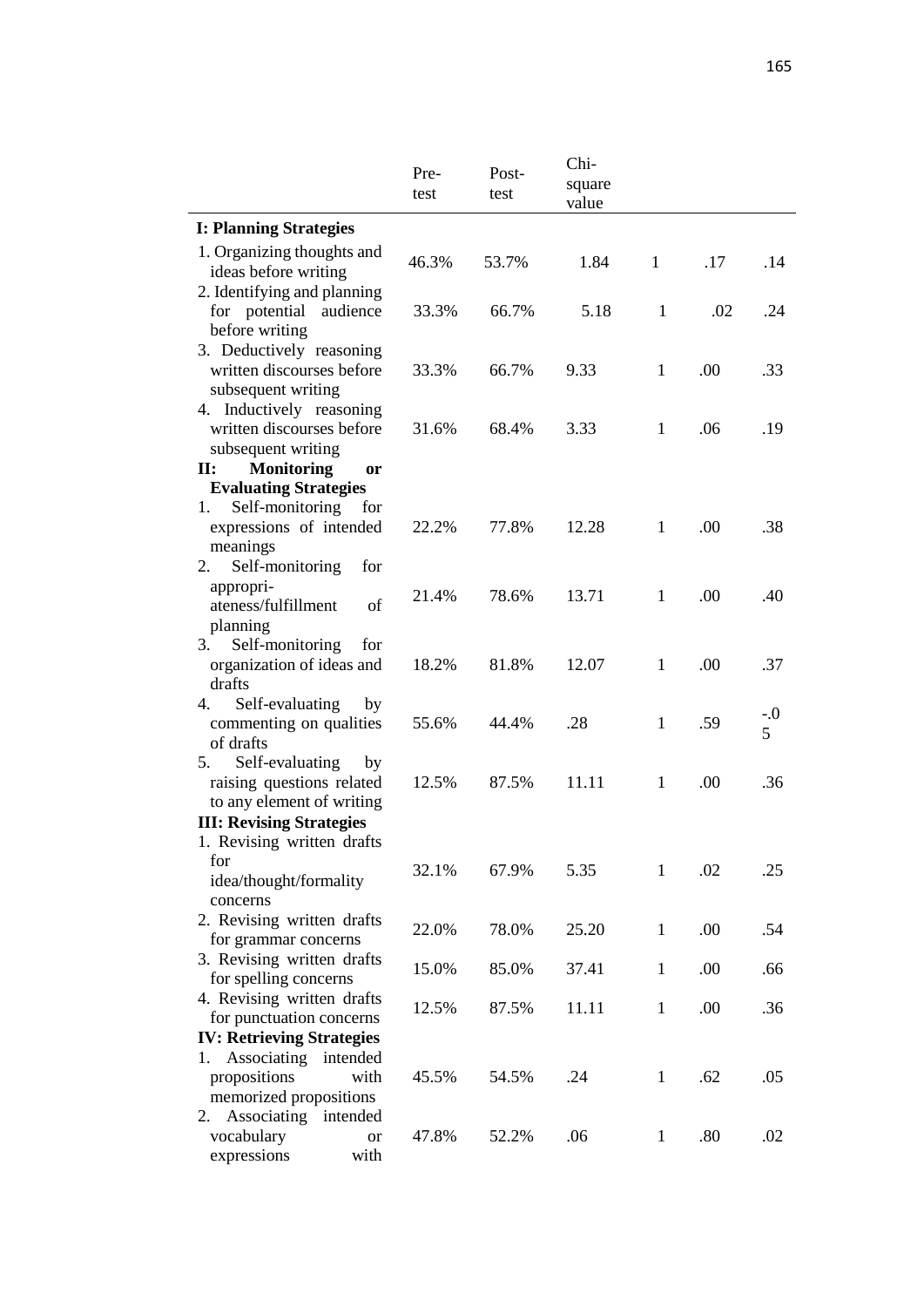|                                                                             | Pre-<br>test | Post-<br>test | Chi-<br>square<br>value |              |      |       |
|-----------------------------------------------------------------------------|--------------|---------------|-------------------------|--------------|------|-------|
| <b>I: Planning Strategies</b>                                               |              |               |                         |              |      |       |
| 1. Organizing thoughts and<br>ideas before writing                          | 46.3%        | 53.7%         | 1.84                    | $\mathbf{1}$ | .17  | .14   |
| 2. Identifying and planning<br>for potential audience<br>before writing     | 33.3%        | 66.7%         | 5.18                    | $\mathbf{1}$ | .02  | .24   |
| 3. Deductively reasoning<br>written discourses before<br>subsequent writing | 33.3%        | 66.7%         | 9.33                    | 1            | .00. | .33   |
| 4. Inductively reasoning<br>written discourses before<br>subsequent writing | 31.6%        | 68.4%         | 3.33                    | $\mathbf{1}$ | .06  | .19   |
| <b>Monitoring</b><br>$\mathbf{II}$ :<br>or                                  |              |               |                         |              |      |       |
| <b>Evaluating Strategies</b>                                                |              |               |                         |              |      |       |
| Self-monitoring<br>1.<br>for                                                |              |               |                         |              |      |       |
| expressions of intended<br>meanings                                         | 22.2%        | 77.8%         | 12.28                   | $\mathbf{1}$ | .00  | .38   |
| Self-monitoring<br>2.<br>for                                                |              |               |                         |              |      |       |
| appropri-<br>ateness/fulfillment<br>of                                      | 21.4%        | 78.6%         | 13.71                   | 1            | .00. | .40   |
| planning                                                                    |              |               |                         |              |      |       |
| Self-monitoring<br>3.<br>for                                                |              |               |                         |              |      |       |
| organization of ideas and                                                   | 18.2%        | 81.8%         | 12.07                   | $\mathbf{1}$ | .00  | .37   |
| drafts                                                                      |              |               |                         |              |      |       |
| Self-evaluating<br>4.<br>by                                                 |              |               |                         |              |      | $-.0$ |
| commenting on qualities                                                     | 55.6%        | 44.4%         | .28                     | $\mathbf{1}$ | .59  | 5     |
| of drafts                                                                   |              |               |                         |              |      |       |
| Self-evaluating<br>5.<br>by                                                 |              |               |                         |              |      |       |
| raising questions related                                                   | 12.5%        | 87.5%         | 11.11                   | $\mathbf{1}$ | .00. | .36   |
| to any element of writing                                                   |              |               |                         |              |      |       |
| <b>III: Revising Strategies</b><br>1. Revising written drafts               |              |               |                         |              |      |       |
| for                                                                         |              |               |                         |              |      |       |
| idea/thought/formality                                                      | 32.1%        | 67.9%         | 5.35                    | $\mathbf{1}$ | .02  | .25   |
| concerns                                                                    |              |               |                         |              |      |       |
| 2. Revising written drafts                                                  | 22.0%        | 78.0%         | 25.20                   | $\mathbf{1}$ | .00  | .54   |
| for grammar concerns                                                        |              |               |                         |              |      |       |
| 3. Revising written drafts                                                  | 15.0%        | 85.0%         | 37.41                   | $\mathbf{1}$ | .00  | .66   |
| for spelling concerns                                                       |              |               |                         |              |      |       |
| 4. Revising written drafts                                                  | 12.5%        | 87.5%         | 11.11                   | $\mathbf{1}$ | .00  | .36   |
| for punctuation concerns                                                    |              |               |                         |              |      |       |
| <b>IV: Retrieving Strategies</b>                                            |              |               |                         |              |      |       |
| Associating intended<br>1.<br>propositions<br>with                          | 45.5%        | 54.5%         | .24                     | $\mathbf{1}$ | .62  | .05   |
| memorized propositions                                                      |              |               |                         |              |      |       |
| Associating<br>intended<br>2.                                               |              |               |                         |              |      |       |
| vocabulary<br><b>or</b>                                                     | 47.8%        | 52.2%         | .06                     | $\mathbf{1}$ | .80  | .02   |
| expressions<br>with                                                         |              |               |                         |              |      |       |
|                                                                             |              |               |                         |              |      |       |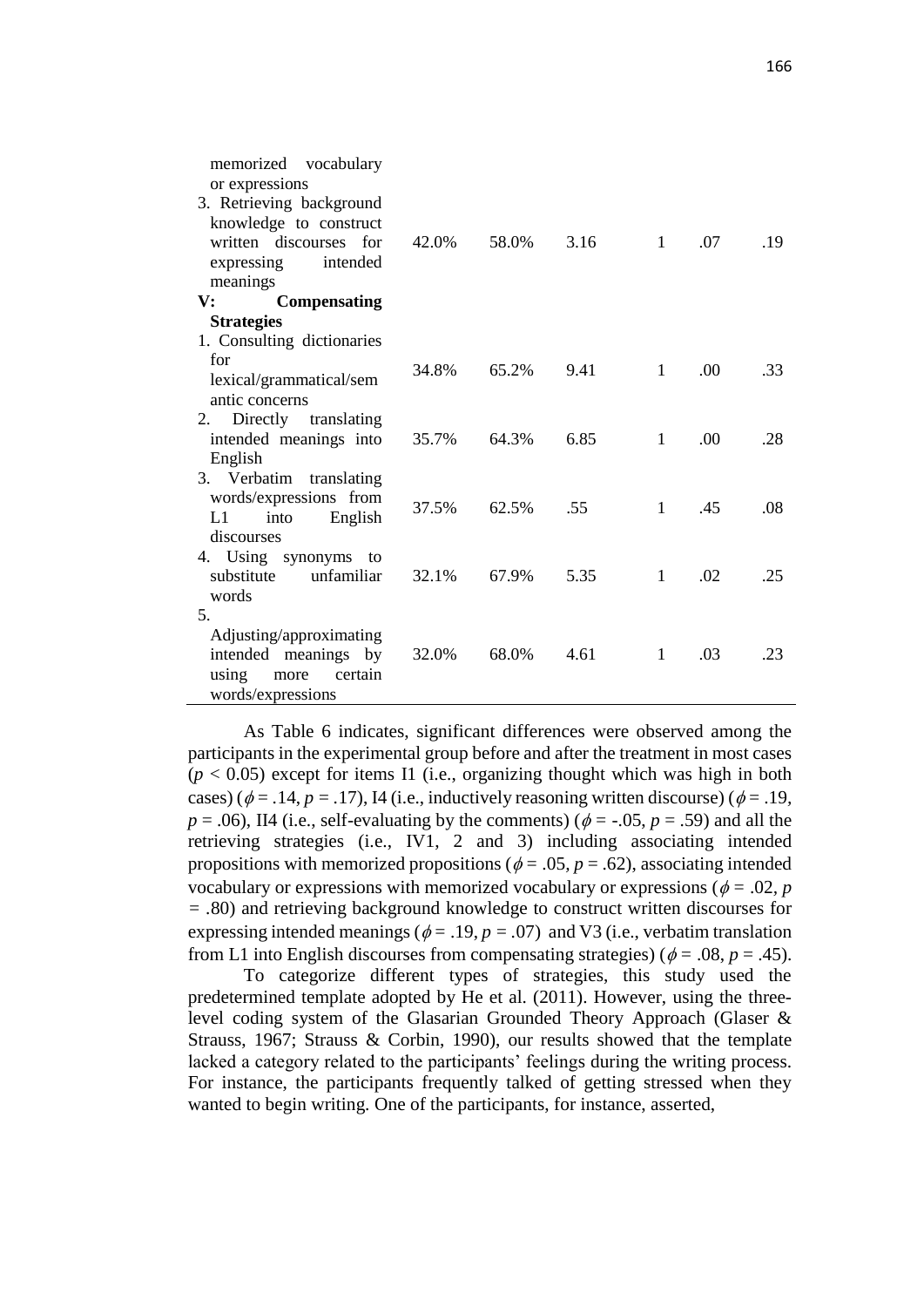| vocabulary<br>memorized<br>or expressions<br>3. Retrieving background<br>knowledge to construct<br>written discourses for<br>expressing<br>intended<br>meanings | 42.0% | 58.0% | 3.16 | $\mathbf{1}$ | .07 | .19 |
|-----------------------------------------------------------------------------------------------------------------------------------------------------------------|-------|-------|------|--------------|-----|-----|
| <b>Compensating</b><br>$\mathbf{V}$ :                                                                                                                           |       |       |      |              |     |     |
| <b>Strategies</b><br>1. Consulting dictionaries                                                                                                                 |       |       |      |              |     |     |
| for<br>lexical/grammatical/sem                                                                                                                                  | 34.8% | 65.2% | 9.41 | 1            | .00 | .33 |
| antic concerns<br>Directly translating<br>2.<br>intended meanings into<br>English                                                                               | 35.7% | 64.3% | 6.85 | 1            | .00 | .28 |
| 3. Verbatim translating<br>words/expressions from<br>English<br>into<br>L1<br>discourses                                                                        | 37.5% | 62.5% | .55  | $\mathbf{1}$ | .45 | .08 |
| 4. Using synonyms to<br>substitute unfamiliar<br>words                                                                                                          | 32.1% | 67.9% | 5.35 | $\mathbf{1}$ | .02 | .25 |
| 5.<br>Adjusting/approximating<br>intended meanings by<br>certain<br>using<br>more<br>words/expressions                                                          | 32.0% | 68.0% | 4.61 | $\mathbf{1}$ | .03 | .23 |

As Table 6 indicates, significant differences were observed among the participants in the experimental group before and after the treatment in most cases  $(p < 0.05)$  except for items I1 (i.e., organizing thought which was high in both cases) ( $\phi$  = .14, *p* = .17), I4 (i.e., inductively reasoning written discourse) ( $\phi$  = .19,  $p = .06$ ), II4 (i.e., self-evaluating by the comments) ( $\phi = -.05$ ,  $p = .59$ ) and all the retrieving strategies (i.e., IV1, 2 and 3) including associating intended propositions with memorized propositions ( $\phi = .05$ ,  $p = .62$ ), associating intended vocabulary or expressions with memorized vocabulary or expressions ( $\phi = .02$ , *p = .*80) and retrieving background knowledge to construct written discourses for expressing intended meanings ( $\phi = .19$ ,  $p = .07$ ) and V3 (i.e., verbatim translation from L1 into English discourses from compensating strategies) ( $\phi = .08$ ,  $p = .45$ ).

To categorize different types of strategies, this study used the predetermined template adopted by He et al. (2011). However, using the threelevel coding system of the Glasarian Grounded Theory Approach (Glaser & Strauss, 1967; Strauss & Corbin, 1990), our results showed that the template lacked a category related to the participants' feelings during the writing process. For instance, the participants frequently talked of getting stressed when they wanted to begin writing. One of the participants, for instance, asserted,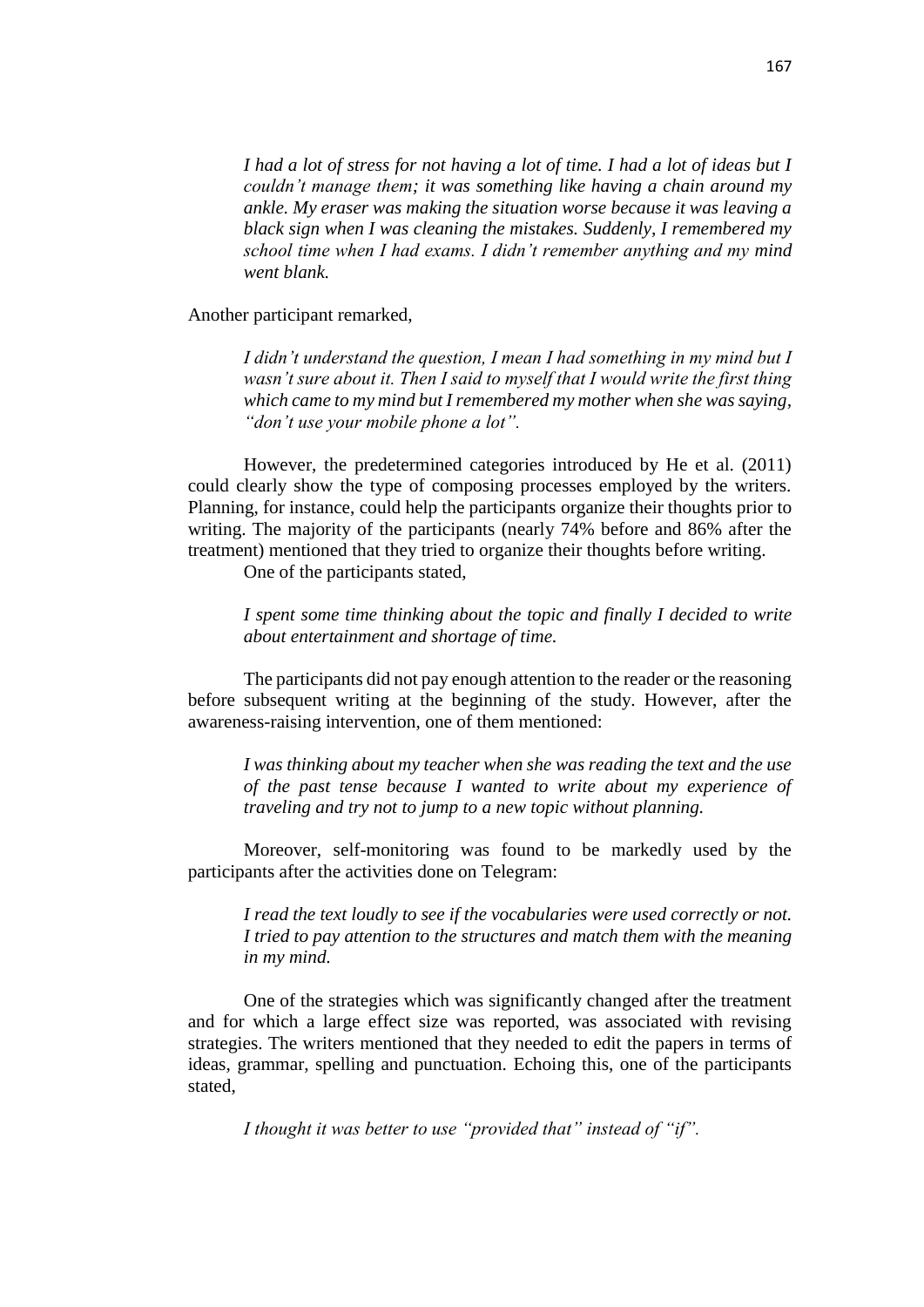*I had a lot of stress for not having a lot of time. I had a lot of ideas but I couldn't manage them; it was something like having a chain around my ankle. My eraser was making the situation worse because it was leaving a black sign when I was cleaning the mistakes. Suddenly, I remembered my school time when I had exams. I didn't remember anything and my mind went blank.* 

Another participant remarked,

*I didn't understand the question, I mean I had something in my mind but I wasn't sure about it. Then I said to myself that I would write the first thing which came to my mind but I remembered my mother when she was saying, "don't use your mobile phone a lot".*

However, the predetermined categories introduced by He et al. (2011) could clearly show the type of composing processes employed by the writers. Planning, for instance, could help the participants organize their thoughts prior to writing. The majority of the participants (nearly 74% before and 86% after the treatment) mentioned that they tried to organize their thoughts before writing.

One of the participants stated,

*I spent some time thinking about the topic and finally I decided to write about entertainment and shortage of time.*

The participants did not pay enough attention to the reader or the reasoning before subsequent writing at the beginning of the study. However, after the awareness-raising intervention, one of them mentioned:

*I was thinking about my teacher when she was reading the text and the use of the past tense because I wanted to write about my experience of traveling and try not to jump to a new topic without planning.*

Moreover, self-monitoring was found to be markedly used by the participants after the activities done on Telegram:

*I read the text loudly to see if the vocabularies were used correctly or not. I tried to pay attention to the structures and match them with the meaning in my mind.* 

One of the strategies which was significantly changed after the treatment and for which a large effect size was reported, was associated with revising strategies. The writers mentioned that they needed to edit the papers in terms of ideas, grammar, spelling and punctuation. Echoing this, one of the participants stated,

*I thought it was better to use "provided that" instead of "if".*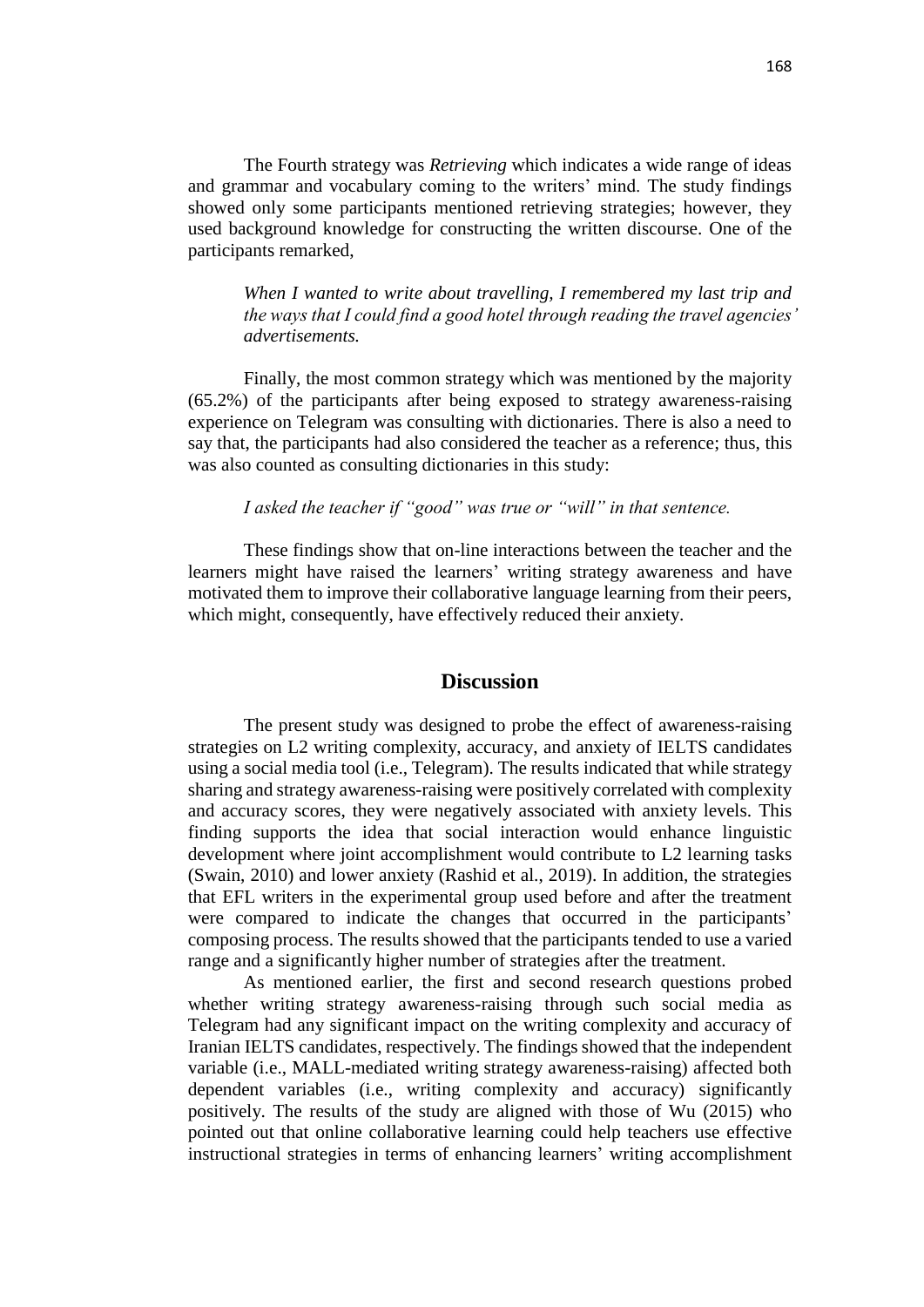The Fourth strategy was *Retrieving* which indicates a wide range of ideas and grammar and vocabulary coming to the writers' mind. The study findings showed only some participants mentioned retrieving strategies; however, they used background knowledge for constructing the written discourse. One of the participants remarked,

*When I wanted to write about travelling, I remembered my last trip and the ways that I could find a good hotel through reading the travel agencies' advertisements.*

Finally, the most common strategy which was mentioned by the majority (65.2%) of the participants after being exposed to strategy awareness-raising experience on Telegram was consulting with dictionaries. There is also a need to say that, the participants had also considered the teacher as a reference; thus, this was also counted as consulting dictionaries in this study:

#### *I asked the teacher if "good" was true or "will" in that sentence.*

These findings show that on-line interactions between the teacher and the learners might have raised the learners' writing strategy awareness and have motivated them to improve their collaborative language learning from their peers, which might, consequently, have effectively reduced their anxiety.

# **Discussion**

The present study was designed to probe the effect of awareness-raising strategies on L2 writing complexity, accuracy, and anxiety of IELTS candidates using a social media tool (i.e., Telegram). The results indicated that while strategy sharing and strategy awareness-raising were positively correlated with complexity and accuracy scores, they were negatively associated with anxiety levels. This finding supports the idea that social interaction would enhance linguistic development where joint accomplishment would contribute to L2 learning tasks (Swain, 2010) and lower anxiety (Rashid et al., 2019). In addition, the strategies that EFL writers in the experimental group used before and after the treatment were compared to indicate the changes that occurred in the participants' composing process. The results showed that the participants tended to use a varied range and a significantly higher number of strategies after the treatment.

As mentioned earlier, the first and second research questions probed whether writing strategy awareness-raising through such social media as Telegram had any significant impact on the writing complexity and accuracy of Iranian IELTS candidates, respectively. The findings showed that the independent variable (i.e., MALL-mediated writing strategy awareness-raising) affected both dependent variables (i.e., writing complexity and accuracy) significantly positively. The results of the study are aligned with those of Wu (2015) who pointed out that online collaborative learning could help teachers use effective instructional strategies in terms of enhancing learners' writing accomplishment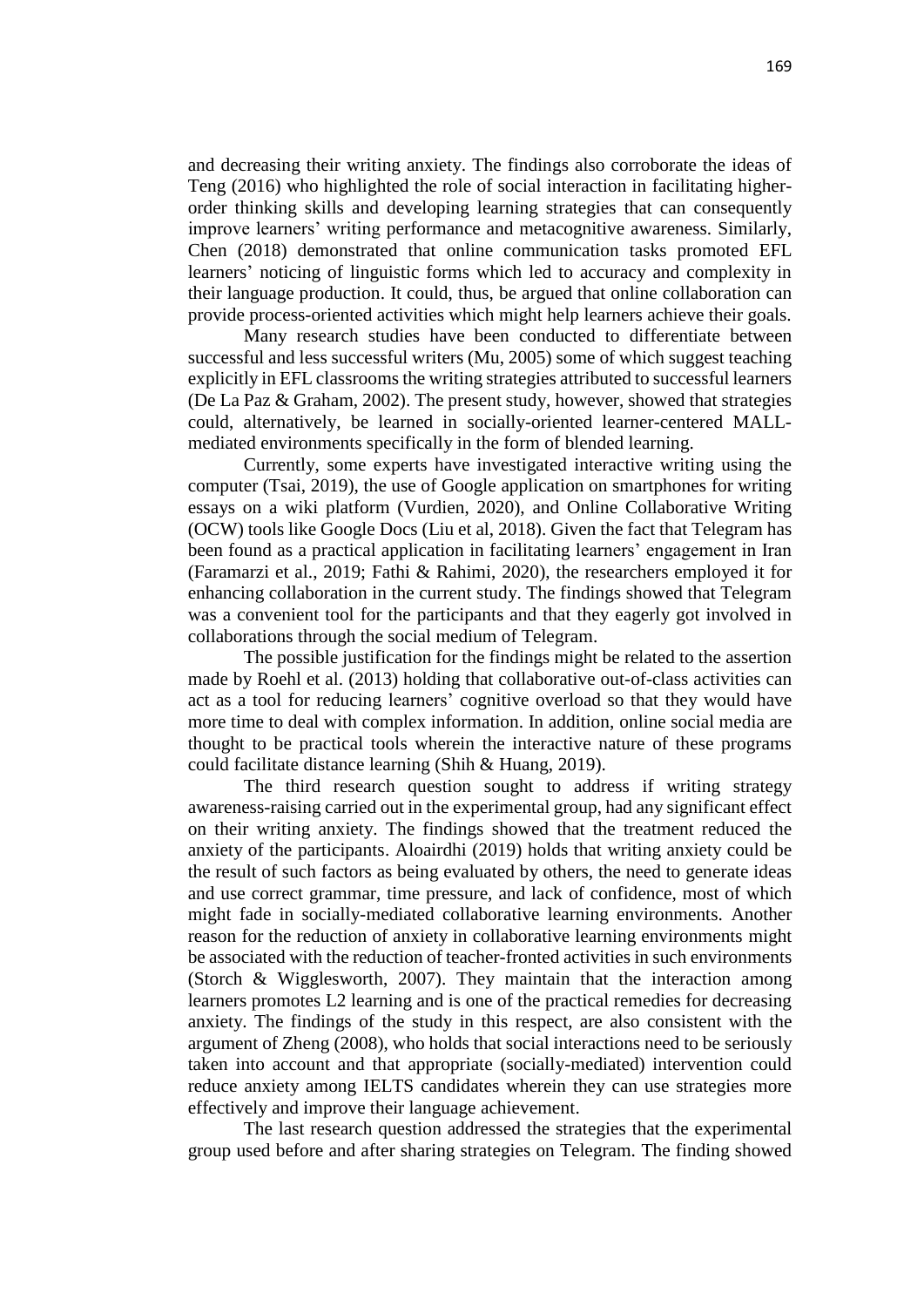and decreasing their writing anxiety. The findings also corroborate the ideas of Teng (2016) who highlighted the role of social interaction in facilitating higherorder thinking skills and developing learning strategies that can consequently improve learners' writing performance and metacognitive awareness. Similarly, Chen (2018) demonstrated that online communication tasks promoted EFL learners' noticing of linguistic forms which led to accuracy and complexity in their language production. It could, thus, be argued that online collaboration can provide process-oriented activities which might help learners achieve their goals.

Many research studies have been conducted to differentiate between successful and less successful writers (Mu, 2005) some of which suggest teaching explicitly in EFL classrooms the writing strategies attributed to successful learners (De La Paz & Graham, 2002). The present study, however, showed that strategies could, alternatively, be learned in socially-oriented learner-centered MALLmediated environments specifically in the form of blended learning.

Currently, some experts have investigated interactive writing using the computer (Tsai, 2019), the use of Google application on smartphones for writing essays on a wiki platform (Vurdien, 2020), and Online Collaborative Writing (OCW) tools like Google Docs (Liu et al, 2018). Given the fact that Telegram has been found as a practical application in facilitating learners' engagement in Iran (Faramarzi et al., 2019; Fathi & Rahimi, 2020), the researchers employed it for enhancing collaboration in the current study. The findings showed that Telegram was a convenient tool for the participants and that they eagerly got involved in collaborations through the social medium of Telegram.

The possible justification for the findings might be related to the assertion made by Roehl et al. (2013) holding that collaborative out-of-class activities can act as a tool for reducing learners' cognitive overload so that they would have more time to deal with complex information. In addition, online social media are thought to be practical tools wherein the interactive nature of these programs could facilitate distance learning (Shih & Huang, 2019).

The third research question sought to address if writing strategy awareness-raising carried out in the experimental group, had any significant effect on their writing anxiety. The findings showed that the treatment reduced the anxiety of the participants. Aloairdhi (2019) holds that writing anxiety could be the result of such factors as being evaluated by others, the need to generate ideas and use correct grammar, time pressure, and lack of confidence, most of which might fade in socially-mediated collaborative learning environments. Another reason for the reduction of anxiety in collaborative learning environments might be associated with the reduction of teacher-fronted activities in such environments (Storch & Wigglesworth, 2007). They maintain that the interaction among learners promotes L2 learning and is one of the practical remedies for decreasing anxiety. The findings of the study in this respect, are also consistent with the argument of Zheng (2008), who holds that social interactions need to be seriously taken into account and that appropriate (socially-mediated) intervention could reduce anxiety among IELTS candidates wherein they can use strategies more effectively and improve their language achievement.

The last research question addressed the strategies that the experimental group used before and after sharing strategies on Telegram. The finding showed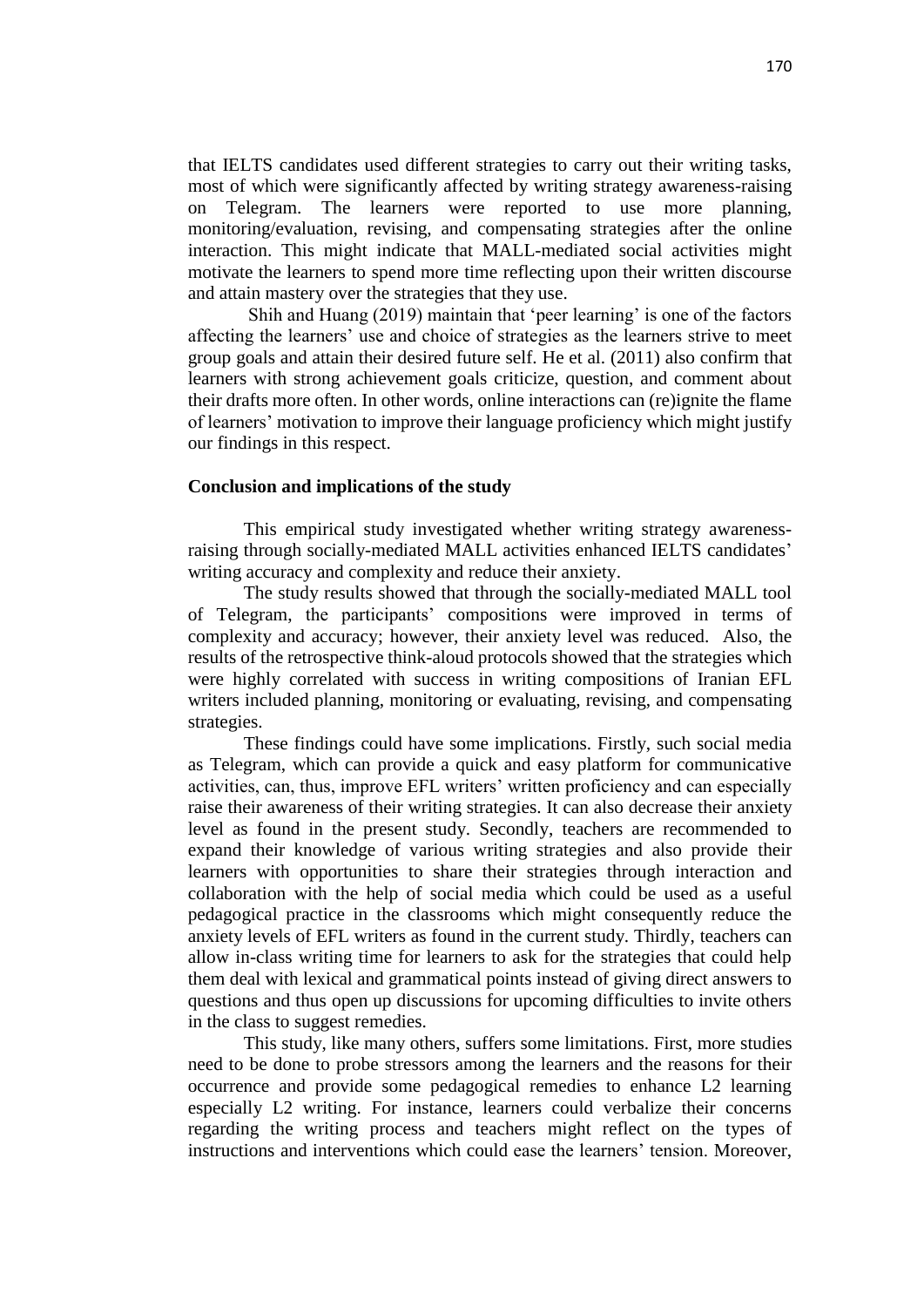that IELTS candidates used different strategies to carry out their writing tasks, most of which were significantly affected by writing strategy awareness-raising on Telegram. The learners were reported to use more planning, monitoring/evaluation, revising, and compensating strategies after the online interaction. This might indicate that MALL-mediated social activities might motivate the learners to spend more time reflecting upon their written discourse and attain mastery over the strategies that they use.

Shih and Huang (2019) maintain that 'peer learning' is one of the factors affecting the learners' use and choice of strategies as the learners strive to meet group goals and attain their desired future self. He et al. (2011) also confirm that learners with strong achievement goals criticize, question, and comment about their drafts more often. In other words, online interactions can (re)ignite the flame of learners' motivation to improve their language proficiency which might justify our findings in this respect.

#### **Conclusion and implications of the study**

This empirical study investigated whether writing strategy awarenessraising through socially-mediated MALL activities enhanced IELTS candidates' writing accuracy and complexity and reduce their anxiety.

The study results showed that through the socially-mediated MALL tool of Telegram, the participants' compositions were improved in terms of complexity and accuracy; however, their anxiety level was reduced. Also, the results of the retrospective think-aloud protocols showed that the strategies which were highly correlated with success in writing compositions of Iranian EFL writers included planning, monitoring or evaluating, revising, and compensating strategies.

These findings could have some implications. Firstly, such social media as Telegram, which can provide a quick and easy platform for communicative activities, can, thus, improve EFL writers' written proficiency and can especially raise their awareness of their writing strategies. It can also decrease their anxiety level as found in the present study. Secondly, teachers are recommended to expand their knowledge of various writing strategies and also provide their learners with opportunities to share their strategies through interaction and collaboration with the help of social media which could be used as a useful pedagogical practice in the classrooms which might consequently reduce the anxiety levels of EFL writers as found in the current study. Thirdly, teachers can allow in-class writing time for learners to ask for the strategies that could help them deal with lexical and grammatical points instead of giving direct answers to questions and thus open up discussions for upcoming difficulties to invite others in the class to suggest remedies.

This study, like many others, suffers some limitations. First, more studies need to be done to probe stressors among the learners and the reasons for their occurrence and provide some pedagogical remedies to enhance L2 learning especially L2 writing. For instance, learners could verbalize their concerns regarding the writing process and teachers might reflect on the types of instructions and interventions which could ease the learners' tension. Moreover,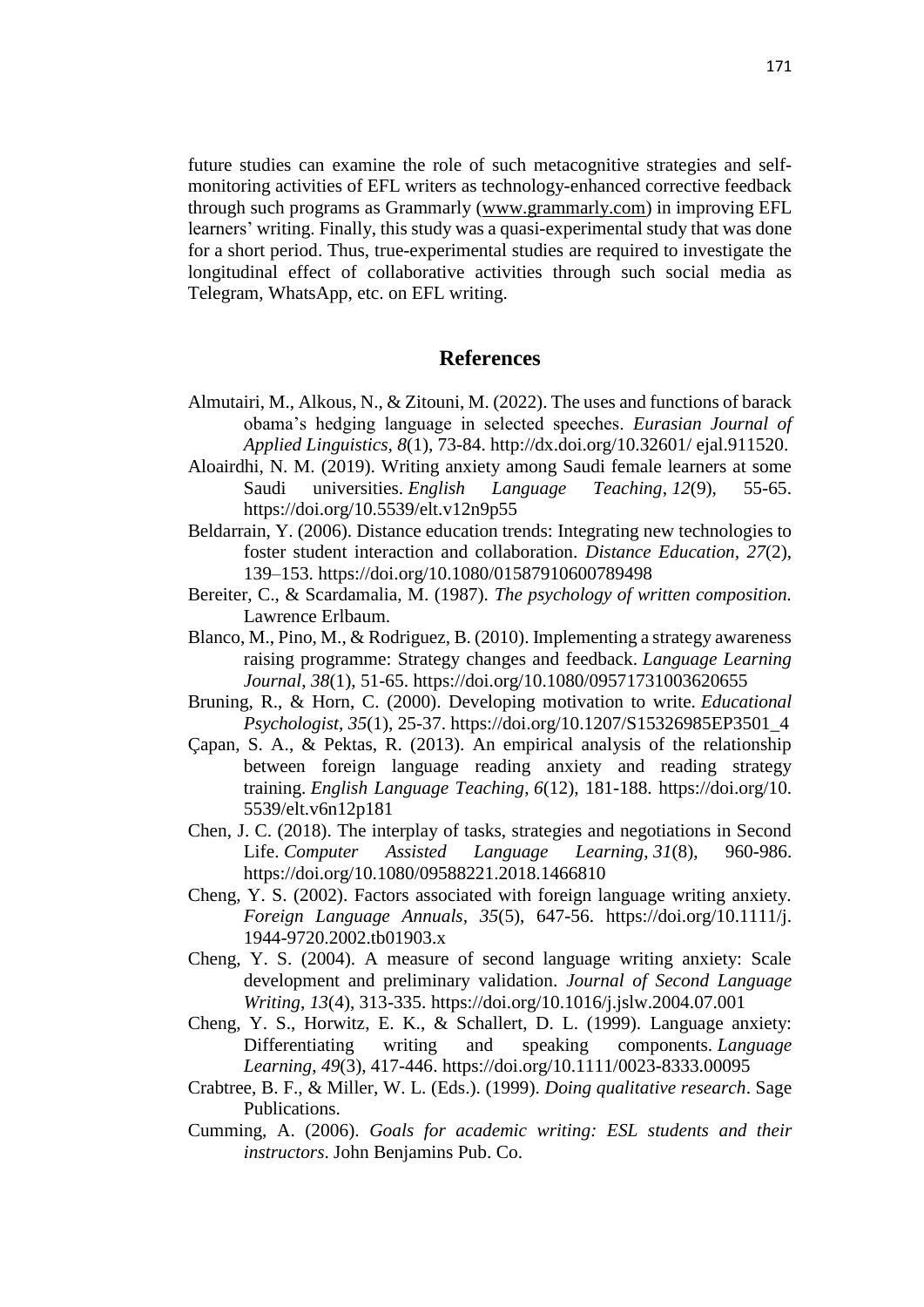future studies can examine the role of such metacognitive strategies and selfmonitoring activities of EFL writers as technology-enhanced corrective feedback through such programs as Grammarly [\(www.grammarly.com\)](http://www.grammarly.com/) in improving EFL learners' writing. Finally, this study was a quasi-experimental study that was done for a short period. Thus, true-experimental studies are required to investigate the longitudinal effect of collaborative activities through such social media as Telegram, WhatsApp, etc. on EFL writing.

## **References**

- Almutairi, M., Alkous, N., & Zitouni, M. (2022). The uses and functions of barack obama's hedging language in selected speeches. *Eurasian Journal of Applied Linguistics, 8*(1), 73-84. http://dx.doi.org/10.32601/ ejal.911520.
- Aloairdhi, N. M. (2019). Writing anxiety among Saudi female learners at some Saudi universities. *English Language Teaching*, *12*(9), 55-65. https://doi.org/10.5539/elt.v12n9p55
- Beldarrain, Y. (2006). Distance education trends: Integrating new technologies to foster student interaction and collaboration. *Distance Education, 27*(2), 139–153. https://doi.org/10.1080/01587910600789498
- Bereiter, C., & Scardamalia, M. (1987). *The psychology of written composition.*  Lawrence Erlbaum.
- Blanco, M., Pino, M., & Rodriguez, B. (2010). Implementing a strategy awareness raising programme: Strategy changes and feedback. *Language Learning Journal*, *38*(1), 51-65. https://doi.org/10.1080/09571731003620655
- Bruning, R., & Horn, C. (2000). Developing motivation to write. *Educational Psychologist*, *35*(1), 25-37. https://doi.org/10.1207/S15326985EP3501\_4
- Çapan, S. A., & Pektas, R. (2013). An empirical analysis of the relationship between foreign language reading anxiety and reading strategy training. *English Language Teaching*, *6*(12), 181-188. https://doi.org/10. 5539/elt.v6n12p181
- Chen, J. C. (2018). The interplay of tasks, strategies and negotiations in Second Life. *Computer Assisted Language Learning*, *31*(8), 960-986. https://doi.org/10.1080/09588221.2018.1466810
- Cheng, Y. S. (2002). Factors associated with foreign language writing anxiety. *Foreign Language Annuals, 35*(5), 647-56. https://doi.org/10.1111/j. 1944-9720.2002.tb01903.x
- Cheng, Y. S. (2004). A measure of second language writing anxiety: Scale development and preliminary validation. *Journal of Second Language Writing*, *13*(4), 313-335. https://doi.org/10.1016/j.jslw.2004.07.001
- Cheng, Y. S., Horwitz, E. K., & Schallert, D. L. (1999). Language anxiety: Differentiating writing and speaking components. *Language Learning*, *49*(3), 417-446. https://doi.org/10.1111/0023-8333.00095
- Crabtree, B. F., & Miller, W. L. (Eds.). (1999). *Doing qualitative research*. Sage Publications.
- Cumming, A. (2006). *Goals for academic writing: ESL students and their instructors*. John Benjamins Pub. Co.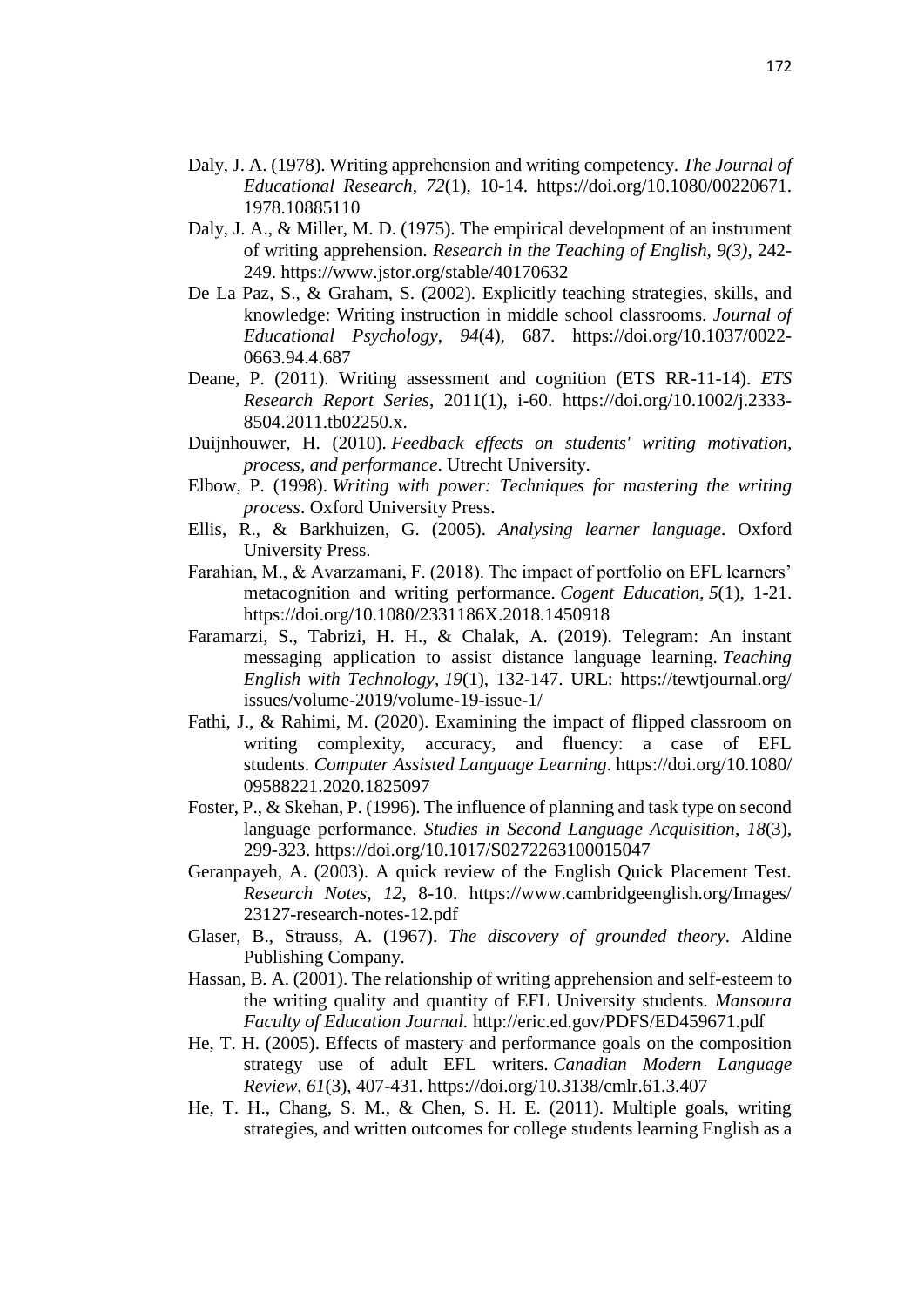- Daly, J. A. (1978). Writing apprehension and writing competency. *The Journal of Educational Research, 72*(1), 10-14. https://doi.org/10.1080/00220671. 1978.10885110
- Daly, J. A., & Miller, M. D. (1975). The empirical development of an instrument of writing apprehension. *Research in the Teaching of English, 9(3)*, 242- 249. https://www.jstor.org/stable/40170632
- De La Paz, S., & Graham, S. (2002). Explicitly teaching strategies, skills, and knowledge: Writing instruction in middle school classrooms. *Journal of Educational Psychology*, *94*(4), 687. https://doi.org/10.1037/0022- 0663.94.4.687
- Deane, P. (2011). Writing assessment and cognition (ETS RR-11-14). *ETS Research Report Series*, 2011(1), i-60. https://doi.org/10.1002/j.2333- 8504.2011.tb02250.x.
- Duijnhouwer, H. (2010). *Feedback effects on students' writing motivation, process, and performance*. Utrecht University.
- Elbow, P. (1998). *Writing with power: Techniques for mastering the writing process*. Oxford University Press.
- Ellis, R., & Barkhuizen, G. (2005). *Analysing learner language*. Oxford University Press.
- Farahian, M., & Avarzamani, F. (2018). The impact of portfolio on EFL learners' metacognition and writing performance. *Cogent Education*, *5*(1), 1-21. https://doi.org/10.1080/2331186X.2018.1450918
- Faramarzi, S., Tabrizi, H. H., & Chalak, A. (2019). Telegram: An instant messaging application to assist distance language learning. *Teaching English with Technology*, *19*(1), 132-147. URL: https://tewtjournal.org/ issues/volume-2019/volume-19-issue-1/
- Fathi, J., & Rahimi, M. (2020). Examining the impact of flipped classroom on writing complexity, accuracy, and fluency: a case of EFL students. *Computer Assisted Language Learning*. https://doi.org/10.1080/ 09588221.2020.1825097
- Foster, P., & Skehan, P. (1996). The influence of planning and task type on second language performance. *Studies in Second Language Acquisition*, *18*(3), 299-323. https://doi.org/10.1017/S0272263100015047
- Geranpayeh, A. (2003). A quick review of the English Quick Placement Test. *Research Notes*, *12*, 8-10. https://www.cambridgeenglish.org/Images/ 23127-research-notes-12.pdf
- Glaser, B., Strauss, A. (1967). *The discovery of grounded theory*. Aldine Publishing Company.
- Hassan, B. A. (2001). The relationship of writing apprehension and self-esteem to the writing quality and quantity of EFL University students. *Mansoura Faculty of Education Journal.* <http://eric.ed.gov/PDFS/ED459671.pdf>
- He, T. H. (2005). Effects of mastery and performance goals on the composition strategy use of adult EFL writers. *Canadian Modern Language Review*, *61*(3), 407-431. https://doi.org/10.3138/cmlr.61.3.407
- He, T. H., Chang, S. M., & Chen, S. H. E. (2011). Multiple goals, writing strategies, and written outcomes for college students learning English as a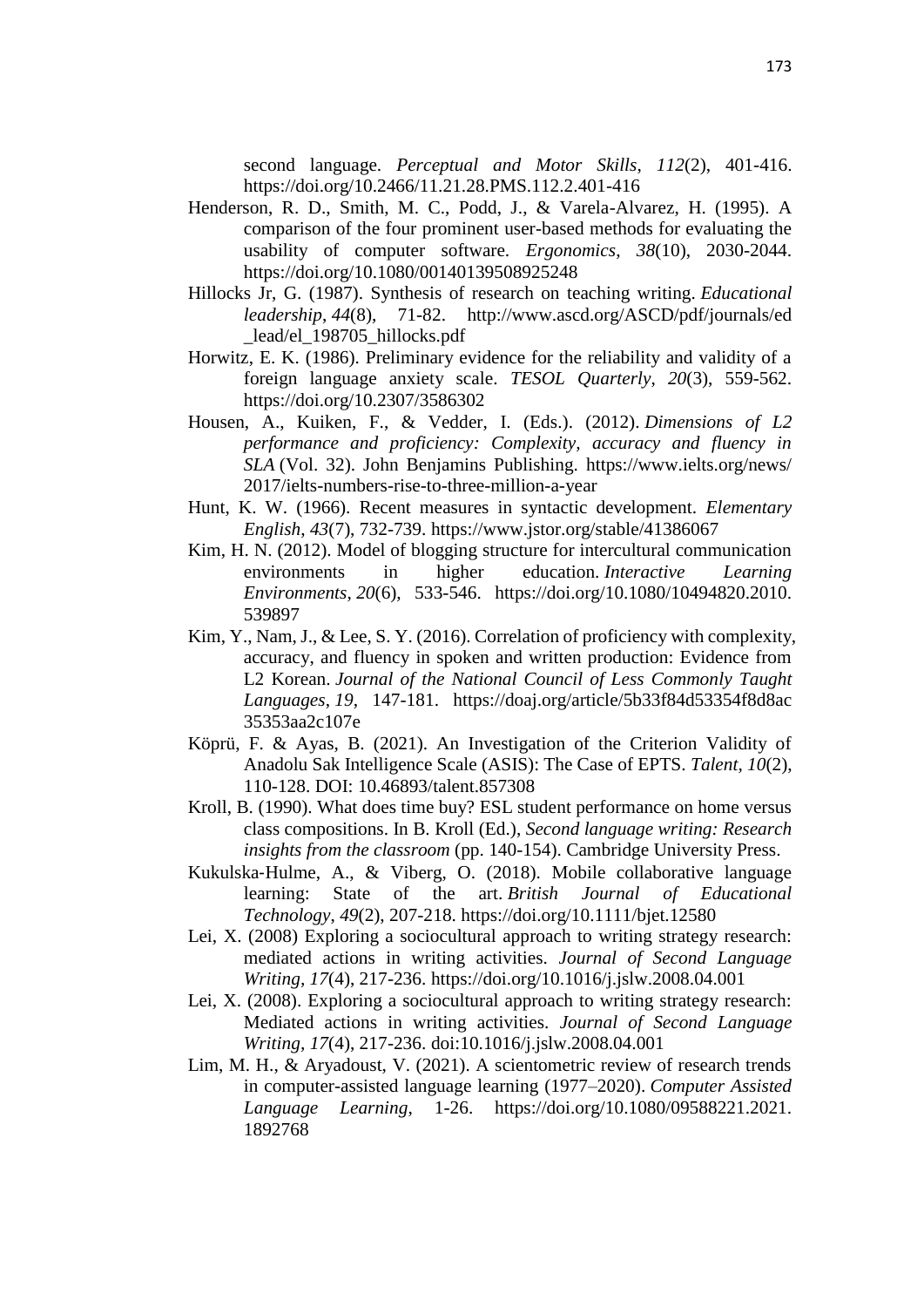second language. *Perceptual and Motor Skills*, *112*(2), 401-416. https://doi.org/10.2466/11.21.28.PMS.112.2.401-416

- Henderson, R. D., Smith, M. C., Podd, J., & Varela-Alvarez, H. (1995). A comparison of the four prominent user-based methods for evaluating the usability of computer software. *Ergonomics*, *38*(10), 2030-2044. https://doi.org/10.1080/00140139508925248
- Hillocks Jr, G. (1987). Synthesis of research on teaching writing. *Educational leadership*, *44*(8), 71-82. http://www.ascd.org/ASCD/pdf/journals/ed lead/el 198705 hillocks.pdf
- Horwitz, E. K. (1986). Preliminary evidence for the reliability and validity of a foreign language anxiety scale. *TESOL Quarterly*, *20*(3), 559-562. https://doi.org/10.2307/3586302
- Housen, A., Kuiken, F., & Vedder, I. (Eds.). (2012). *Dimensions of L2 performance and proficiency: Complexity, accuracy and fluency in SLA* (Vol. 32). John Benjamins Publishing. https://www.ielts.org/news/ 2017/ielts-numbers-rise-to-three-million-a-year
- Hunt, K. W. (1966). Recent measures in syntactic development. *Elementary English*, *43*(7), 732-739. https://www.jstor.org/stable/41386067
- Kim, H. N. (2012). Model of blogging structure for intercultural communication environments in higher education. *Interactive Learning Environments*, *20*(6), 533-546. https://doi.org/10.1080/10494820.2010. 539897
- Kim, Y., Nam, J., & Lee, S. Y. (2016). Correlation of proficiency with complexity, accuracy, and fluency in spoken and written production: Evidence from L2 Korean. *Journal of the National Council of Less Commonly Taught Languages*, *19*, 147-181. https://doaj.org/article/5b33f84d53354f8d8ac 35353aa2c107e
- Köprü, F. & Ayas, B. (2021). An Investigation of the Criterion Validity of Anadolu Sak Intelligence Scale (ASIS): The Case of EPTS. *Talent, 10*(2), 110-128. DOI: 10.46893/talent.857308
- Kroll, B. (1990). What does time buy? ESL student performance on home versus class compositions. In B. Kroll (Ed.), *Second language writing: Research insights from the classroom* (pp. 140-154). Cambridge University Press.
- Kukulska‐Hulme, A., & Viberg, O. (2018). Mobile collaborative language learning: State of the art. *British Journal of Educational Technology*, *49*(2), 207-218. https://doi.org/10.1111/bjet.12580
- Lei, X. (2008) Exploring a sociocultural approach to writing strategy research: mediated actions in writing activities. *Journal of Second Language Writing, 17*(4), 217-236. https://doi.org/10.1016/j.jslw.2008.04.001
- Lei, X. (2008). Exploring a sociocultural approach to writing strategy research: Mediated actions in writing activities. *Journal of Second Language Writing, 17*(4), 217-236. doi:10.1016/j.jslw.2008.04.001
- Lim, M. H., & Aryadoust, V. (2021). A scientometric review of research trends in computer-assisted language learning (1977–2020). *Computer Assisted Language Learning*, 1-26. https://doi.org/10.1080/09588221.2021. 1892768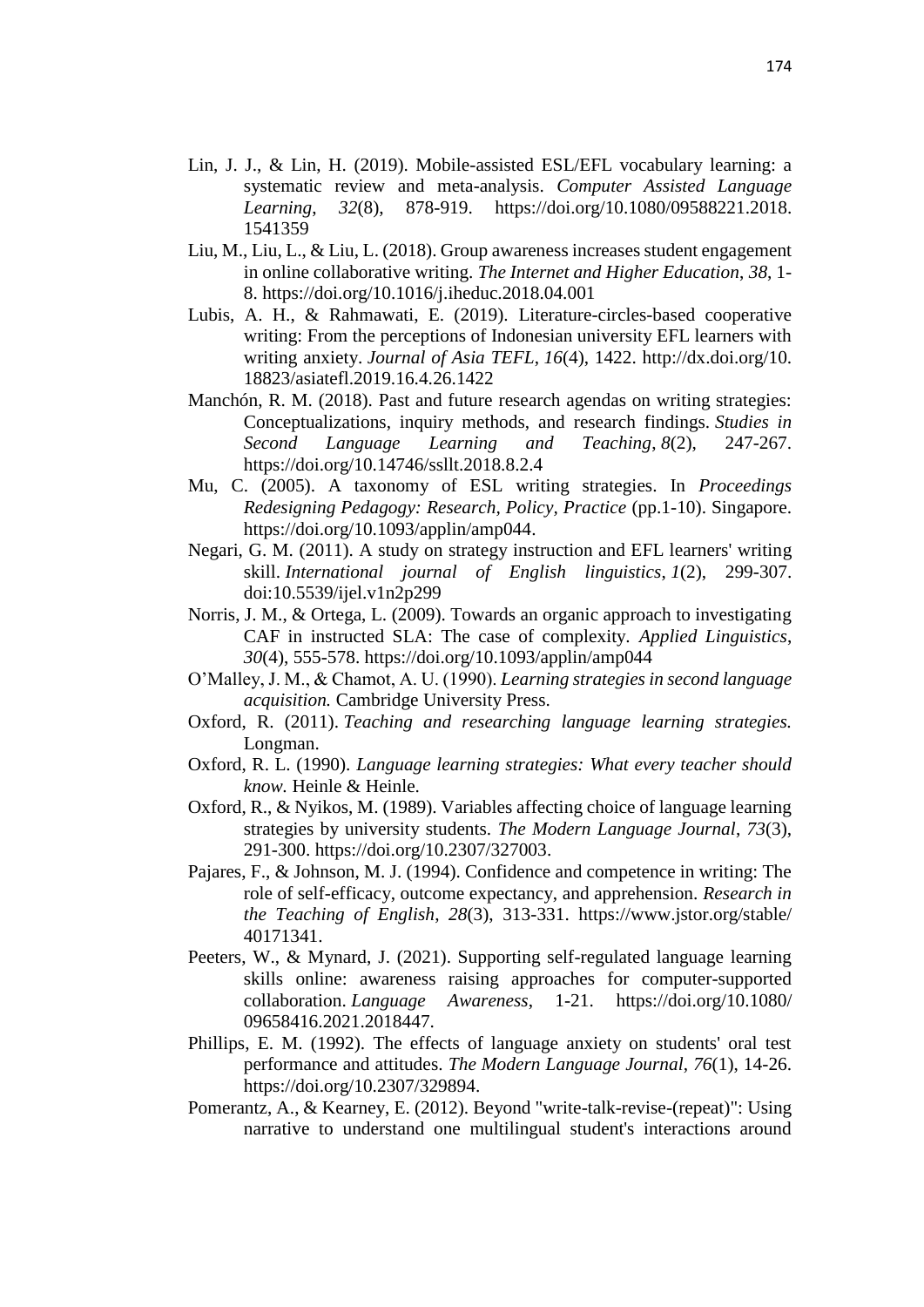- Lin, J. J., & Lin, H. (2019). Mobile-assisted ESL/EFL vocabulary learning: a systematic review and meta-analysis. *Computer Assisted Language Learning*, *32*(8), 878-919. https://doi.org/10.1080/09588221.2018. 1541359
- Liu, M., Liu, L., & Liu, L. (2018). Group awareness increases student engagement in online collaborative writing. *The Internet and Higher Education*, *38*, 1- 8. https://doi.org/10.1016/j.iheduc.2018.04.001
- Lubis, A. H., & Rahmawati, E. (2019). Literature-circles-based cooperative writing: From the perceptions of Indonesian university EFL learners with writing anxiety. *Journal of Asia TEFL*, *16*(4), 1422. http://dx.doi.org/10. 18823/asiatefl.2019.16.4.26.1422
- Manchón, R. M. (2018). Past and future research agendas on writing strategies: Conceptualizations, inquiry methods, and research findings. *Studies in Second Language Learning and Teaching*, *8*(2), 247-267. https://doi.org/10.14746/ssllt.2018.8.2.4
- Mu, C. (2005). A taxonomy of ESL writing strategies. In *Proceedings Redesigning Pedagogy: Research, Policy, Practice* (pp.1-10). Singapore. https://doi.org/10.1093/applin/amp044.
- Negari, G. M. (2011). A study on strategy instruction and EFL learners' writing skill. *International journal of English linguistics*, *1*(2), 299-307. doi:10.5539/ijel.v1n2p299
- Norris, J. M., & Ortega, L. (2009). Towards an organic approach to investigating CAF in instructed SLA: The case of complexity. *Applied Linguistics*, *30*(4), 555-578. https://doi.org/10.1093/applin/amp044
- O'Malley, J. M., & Chamot, A. U. (1990). *Learning strategies in second language acquisition.* Cambridge University Press.
- Oxford, R. (2011). *Teaching and researching language learning strategies.*  Longman.
- Oxford, R. L. (1990). *Language learning strategies: What every teacher should know.* Heinle & Heinle.
- Oxford, R., & Nyikos, M. (1989). Variables affecting choice of language learning strategies by university students. *The Modern Language Journal*, *73*(3), 291-300. https://doi.org/10.2307/327003.
- Pajares, F., & Johnson, M. J. (1994). Confidence and competence in writing: The role of self-efficacy, outcome expectancy, and apprehension. *Research in the Teaching of English*, *28*(3), 313-331. https://www.jstor.org/stable/ 40171341.
- Peeters, W., & Mynard, J. (2021). Supporting self-regulated language learning skills online: awareness raising approaches for computer-supported collaboration. *Language Awareness*, 1-21. https://doi.org/10.1080/ 09658416.2021.2018447.
- Phillips, E. M. (1992). The effects of language anxiety on students' oral test performance and attitudes. *The Modern Language Journal*, *76*(1), 14-26. https://doi.org/10.2307/329894.
- Pomerantz, A., & Kearney, E. (2012). Beyond "write-talk-revise-(repeat)": Using narrative to understand one multilingual student's interactions around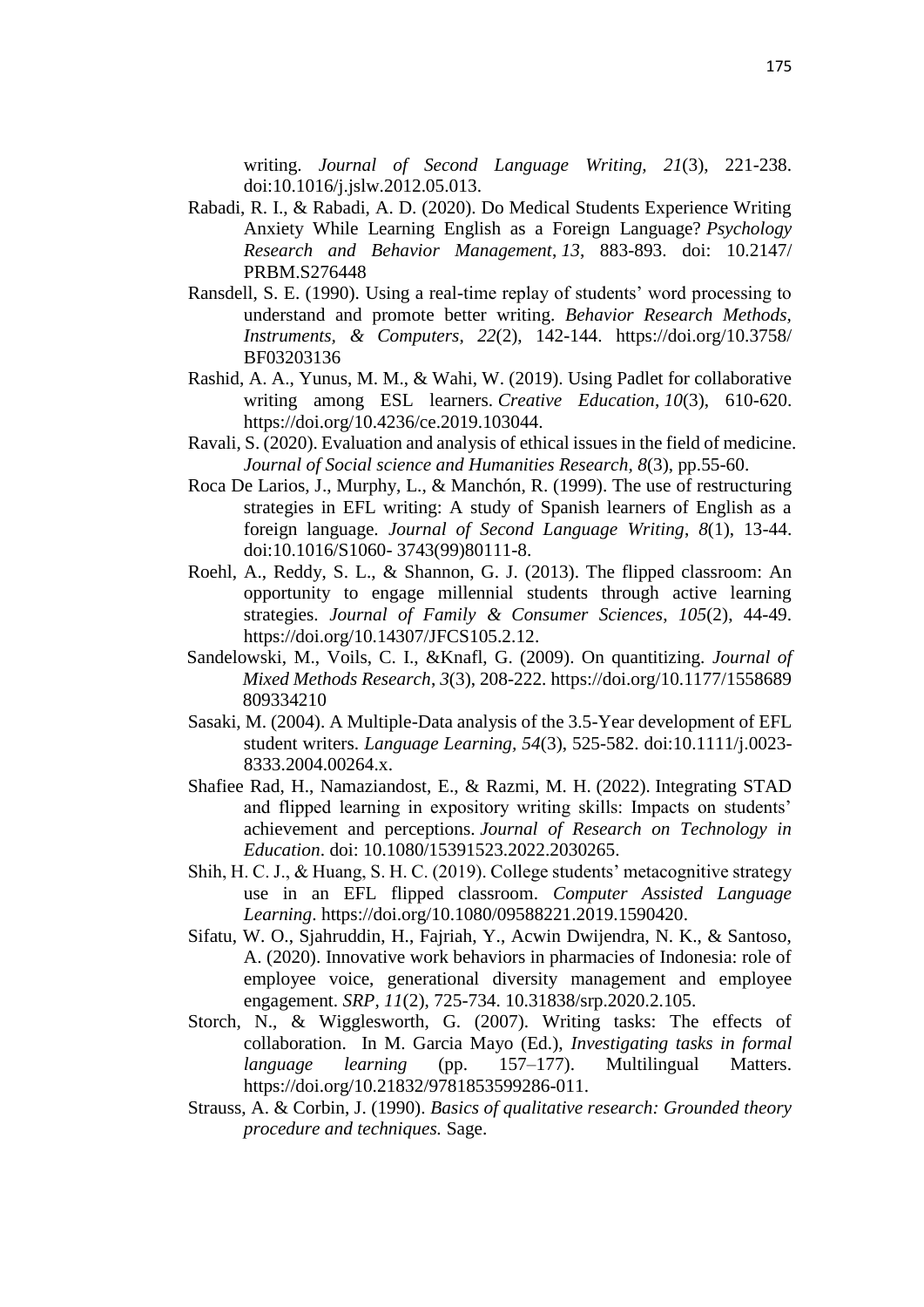writing. *Journal of Second Language Writing, 21*(3), 221-238. doi:10.1016/j.jslw.2012.05.013.

- Rabadi, R. I., & Rabadi, A. D. (2020). Do Medical Students Experience Writing Anxiety While Learning English as a Foreign Language? *Psychology Research and Behavior Management*, *13*, 883-893. doi: 10.2147/ PRBM.S276448
- Ransdell, S. E. (1990). Using a real-time replay of students' word processing to understand and promote better writing. *Behavior Research Methods, Instruments, & Computers*, *22*(2), 142-144. https://doi.org/10.3758/ BF03203136
- Rashid, A. A., Yunus, M. M., & Wahi, W. (2019). Using Padlet for collaborative writing among ESL learners. *Creative Education*, *10*(3), 610-620. https://doi.org/10.4236/ce.2019.103044.
- Ravali, S. (2020). Evaluation and analysis of ethical issues in the field of medicine. *Journal of Social science and Humanities Research, 8*(3), pp.55-60.
- Roca De Larios, J., Murphy, L., & Manchón, R. (1999). The use of restructuring strategies in EFL writing: A study of Spanish learners of English as a foreign language. *Journal of Second Language Writing*, *8*(1), 13-44. doi:10.1016/S1060- 3743(99)80111-8.
- Roehl, A., Reddy, S. L., & Shannon, G. J. (2013). The flipped classroom: An opportunity to engage millennial students through active learning strategies. *Journal of Family & Consumer Sciences*, *105*(2), 44-49. https://doi.org/10.14307/JFCS105.2.12.
- Sandelowski, M., Voils, C. I., &Knafl, G. (2009). On quantitizing. *Journal of Mixed Methods Research*, *3*(3), 208-222. https://doi.org/10.1177/1558689 809334210
- Sasaki, M. (2004). A Multiple-Data analysis of the 3.5-Year development of EFL student writers. *Language Learning, 54*(3), 525-582. doi:10.1111/j.0023- 8333.2004.00264.x.
- Shafiee Rad, H., Namaziandost, E., & Razmi, M. H. (2022). Integrating STAD and flipped learning in expository writing skills: Impacts on students' achievement and perceptions. *Journal of Research on Technology in Education*. doi: [10.1080/15391523.2022.2030265.](https://doi.org/10.1080/15391523.2022.2030265)
- Shih, H. C. J., & Huang, S. H. C. (2019). College students' metacognitive strategy use in an EFL flipped classroom. *Computer Assisted Language Learning*. https://doi.org/10.1080/09588221.2019.1590420.
- Sifatu, W. O., Sjahruddin, H., Fajriah, Y., Acwin Dwijendra, N. K., & Santoso, A. (2020). Innovative work behaviors in pharmacies of Indonesia: role of employee voice, generational diversity management and employee engagement. *SRP, 11*(2), 725-734. 10.31838/srp.2020.2.105.
- Storch, N., & Wigglesworth, G. (2007). Writing tasks: The effects of collaboration. In M. Garcia Mayo (Ed.), *Investigating tasks in formal language learning* (pp. 157–177). Multilingual Matters. [https://doi.org/10.21832/9781853599286-011.](https://doi.org/10.21832/9781853599286-011)
- Strauss, A. & Corbin, J. (1990). *Basics of qualitative research: Grounded theory procedure and techniques.* Sage.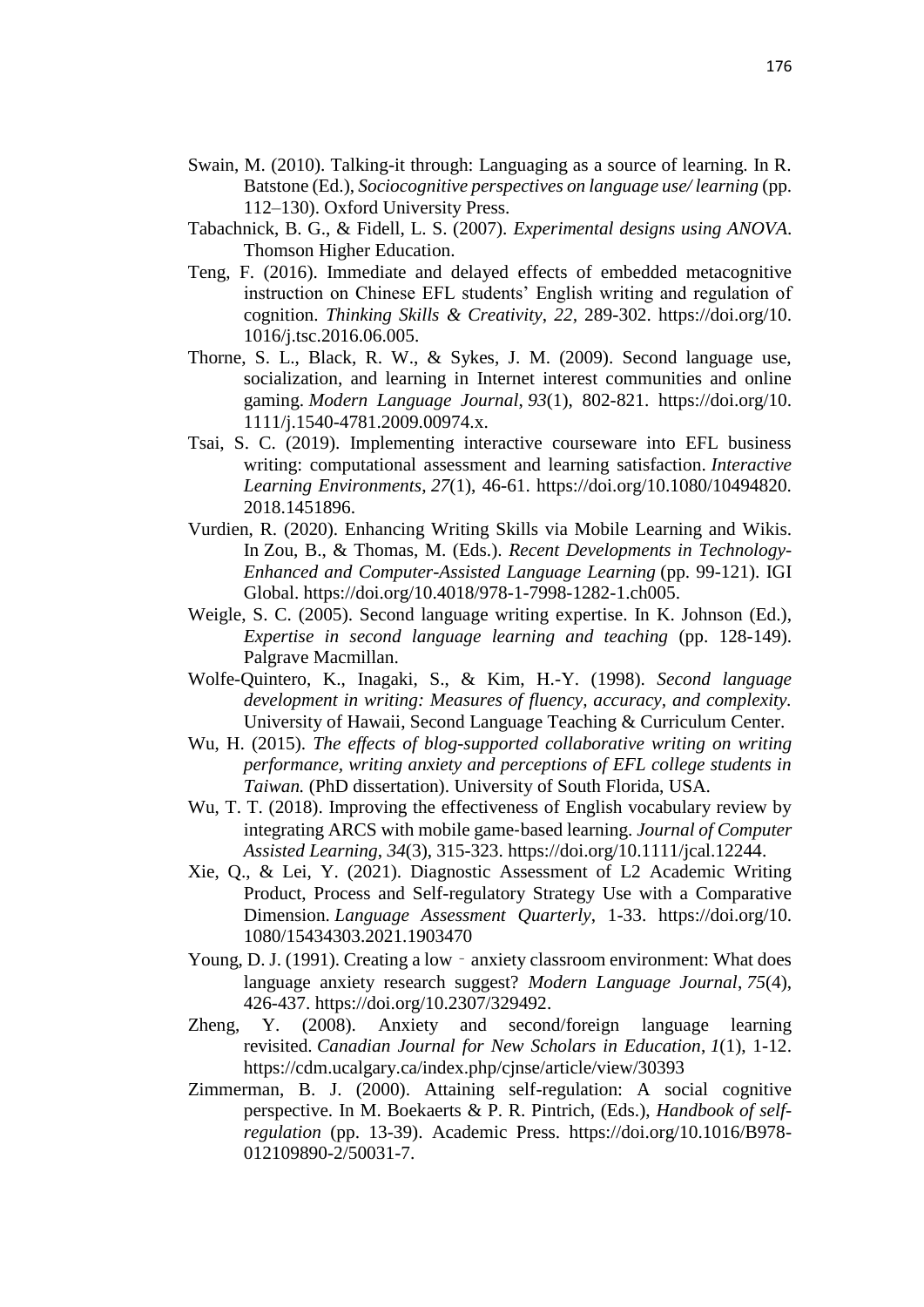- Swain, M. (2010). Talking-it through: Languaging as a source of learning. In R. Batstone (Ed.), *Sociocognitive perspectives on language use/ learning* (pp. 112–130). Oxford University Press.
- Tabachnick, B. G., & Fidell, L. S. (2007). *Experimental designs using ANOVA*. Thomson Higher Education.
- Teng, F. (2016). Immediate and delayed effects of embedded metacognitive instruction on Chinese EFL students' English writing and regulation of cognition. *Thinking Skills & Creativity*, *22,* 289-302. https://doi.org/10. 1016/j.tsc.2016.06.005.
- Thorne, S. L., Black, R. W., & Sykes, J. M. (2009). Second language use, socialization, and learning in Internet interest communities and online gaming. *Modern Language Journal*, *93*(1), 802-821. https://doi.org/10. 1111/j.1540-4781.2009.00974.x.
- Tsai, S. C. (2019). Implementing interactive courseware into EFL business writing: computational assessment and learning satisfaction. *Interactive Learning Environments*, *27*(1), 46-61. https://doi.org/10.1080/10494820. 2018.1451896.
- Vurdien, R. (2020). Enhancing Writing Skills via Mobile Learning and Wikis. In Zou, B., & Thomas, M. (Eds.). *Recent Developments in Technology-Enhanced and Computer-Assisted Language Learning* (pp. 99-121). IGI Global. https://doi.org/10.4018/978-1-7998-1282-1.ch005.
- Weigle, S. C. (2005). Second language writing expertise. In K. Johnson (Ed.), *Expertise in second language learning and teaching* (pp. 128-149). Palgrave Macmillan.
- Wolfe-Quintero, K., Inagaki, S., & Kim, H.-Y. (1998). *Second language development in writing: Measures of fluency, accuracy, and complexity.* University of Hawaii, Second Language Teaching & Curriculum Center.
- Wu, H. (2015). *The effects of blog-supported collaborative writing on writing performance, writing anxiety and perceptions of EFL college students in Taiwan.* (PhD dissertation). University of South Florida, USA.
- Wu, T. T. (2018). Improving the effectiveness of English vocabulary review by integrating ARCS with mobile game‐based learning. *Journal of Computer Assisted Learning*, *34*(3), 315-323. https://doi.org/10.1111/jcal.12244.
- Xie, Q., & Lei, Y. (2021). Diagnostic Assessment of L2 Academic Writing Product, Process and Self-regulatory Strategy Use with a Comparative Dimension. *Language Assessment Quarterly*, 1-33. https://doi.org/10. 1080/15434303.2021.1903470
- Young, D. J. (1991). Creating a low anxiety classroom environment: What does language anxiety research suggest? *Modern Language Journal*, *75*(4), 426-437. https://doi.org/10.2307/329492.
- Zheng, Y. (2008). Anxiety and second/foreign language learning revisited. *Canadian Journal for New Scholars in Education*, *1*(1), 1-12. https://cdm.ucalgary.ca/index.php/cjnse/article/view/30393
- Zimmerman, B. J. (2000). Attaining self-regulation: A social cognitive perspective. In M. Boekaerts & P. R. Pintrich, (Eds.), *Handbook of selfregulation* (pp. 13-39). Academic Press. [https://doi.org/10.1016/B978-](https://doi.org/10.1016/B978-012109890-2/50031-7) [012109890-2/50031-7.](https://doi.org/10.1016/B978-012109890-2/50031-7)